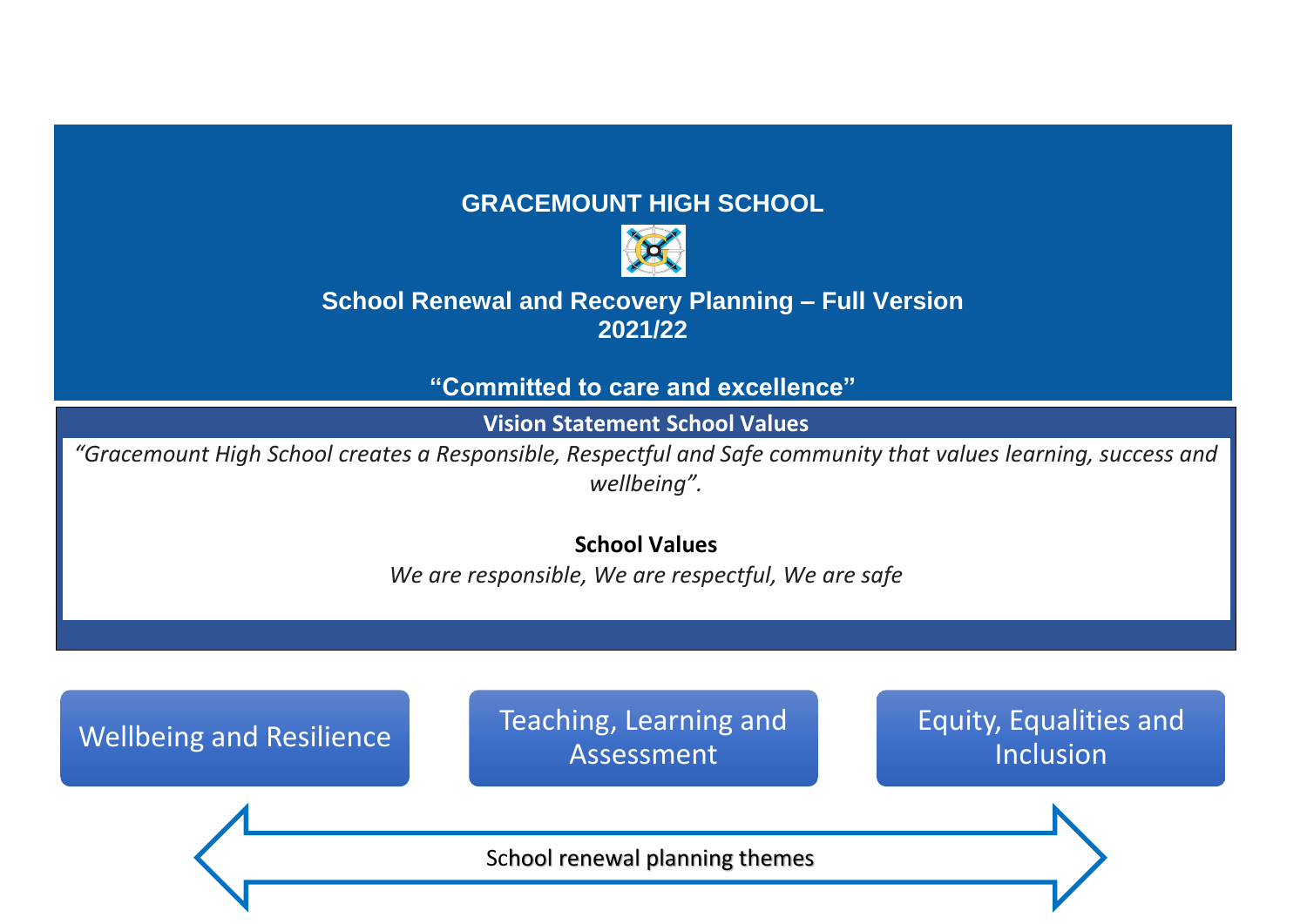#### **GRACEMOUNT HIGH SCHOOL**



#### **School Renewal and Recovery Planning – Full Version 2021/22**

**"Committed to care and excellence"**

**Vision Statement School Values**

*"Gracemount High School creates a Responsible, Respectful and Safe community that values learning, success and wellbeing".*

**School Values**

*We are responsible, We are respectful, We are safe*

Wellbeing and Resilience Teaching, Learning and Assessment

Equity, Equalities and Inclusion

School renewal planning themes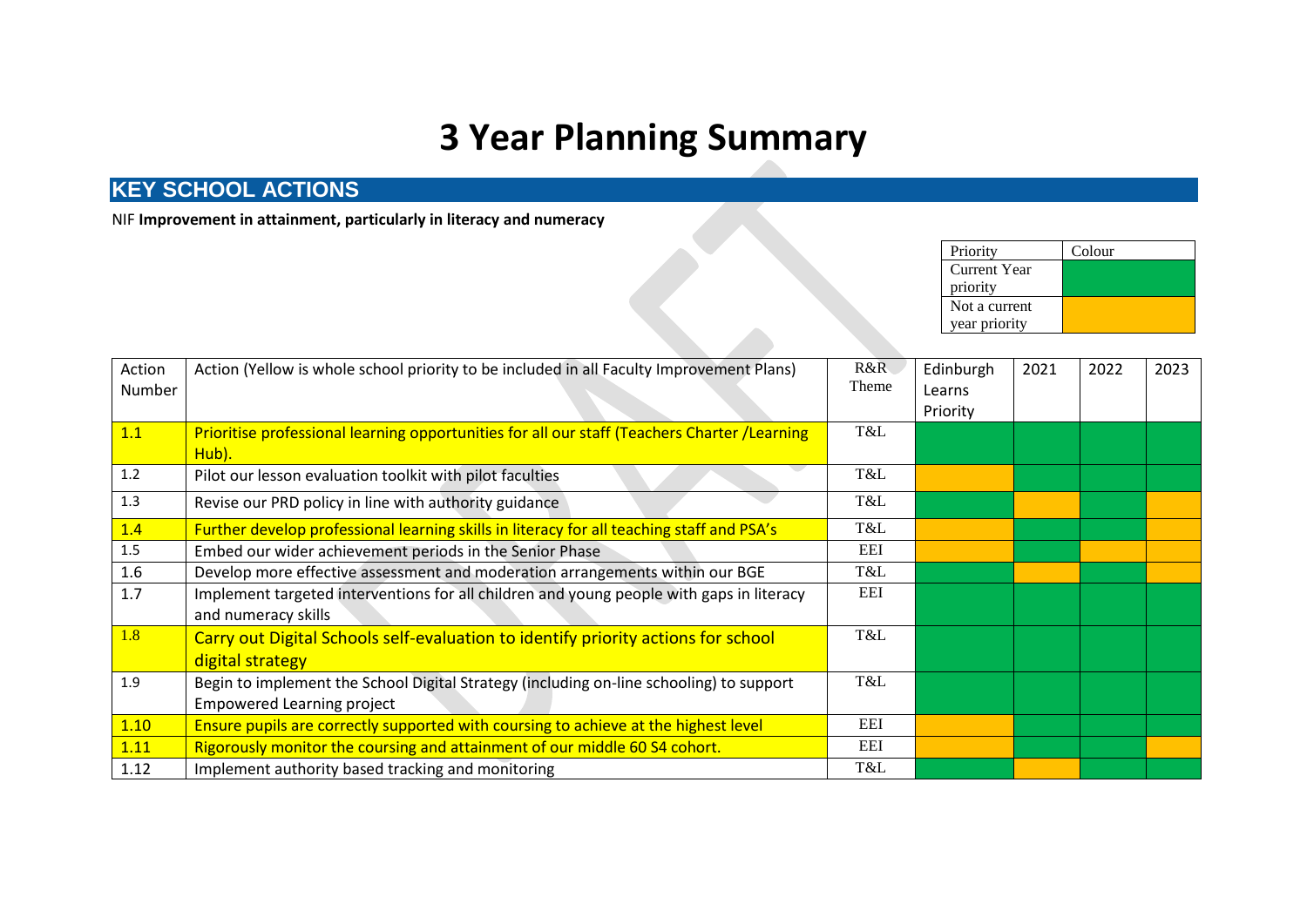# **3 Year Planning Summary**

#### **KEY SCHOOL ACTIONS**

NIF **Improvement in attainment, particularly in literacy and numeracy**

| Priority      | Colour |
|---------------|--------|
| Current Year  |        |
| priority      |        |
| Not a current |        |
| year priority |        |

|         |                                                                                                                 |       | <b>Current Year</b> |      |      |      |
|---------|-----------------------------------------------------------------------------------------------------------------|-------|---------------------|------|------|------|
|         |                                                                                                                 |       | priority            |      |      |      |
|         |                                                                                                                 |       | Not a current       |      |      |      |
|         |                                                                                                                 |       | year priority       |      |      |      |
|         |                                                                                                                 |       |                     |      |      |      |
| Action  | Action (Yellow is whole school priority to be included in all Faculty Improvement Plans)                        | R&R   | Edinburgh           | 2021 | 2022 | 2023 |
| Number  |                                                                                                                 | Theme | Learns              |      |      |      |
|         |                                                                                                                 |       | Priority            |      |      |      |
| 1.1     | Prioritise professional learning opportunities for all our staff (Teachers Charter /Learning<br>Hub).           | T&L   |                     |      |      |      |
| 1.2     | Pilot our lesson evaluation toolkit with pilot faculties                                                        | T&L   |                     |      |      |      |
| 1.3     | Revise our PRD policy in line with authority guidance                                                           | T&L   |                     |      |      |      |
| 1.4     | Further develop professional learning skills in literacy for all teaching staff and PSA's                       | T&L   |                     |      |      |      |
| $1.5\,$ | Embed our wider achievement periods in the Senior Phase                                                         | EEI   |                     |      |      |      |
| 1.6     | Develop more effective assessment and moderation arrangements within our BGE                                    | T&L   |                     |      |      |      |
| 1.7     | Implement targeted interventions for all children and young people with gaps in literacy<br>and numeracy skills | EEI   |                     |      |      |      |
| 1.8     | Carry out Digital Schools self-evaluation to identify priority actions for school                               | T&L   |                     |      |      |      |
|         | digital strategy                                                                                                |       |                     |      |      |      |
| 1.9     | Begin to implement the School Digital Strategy (including on-line schooling) to support                         | T&L   |                     |      |      |      |
|         | <b>Empowered Learning project</b>                                                                               |       |                     |      |      |      |
| 1.10    | Ensure pupils are correctly supported with coursing to achieve at the highest level                             | EEI   |                     |      |      |      |
| 1.11    | Rigorously monitor the coursing and attainment of our middle 60 S4 cohort.                                      | EEI   |                     |      |      |      |
| 1.12    | Implement authority based tracking and monitoring                                                               | T&L   |                     |      |      |      |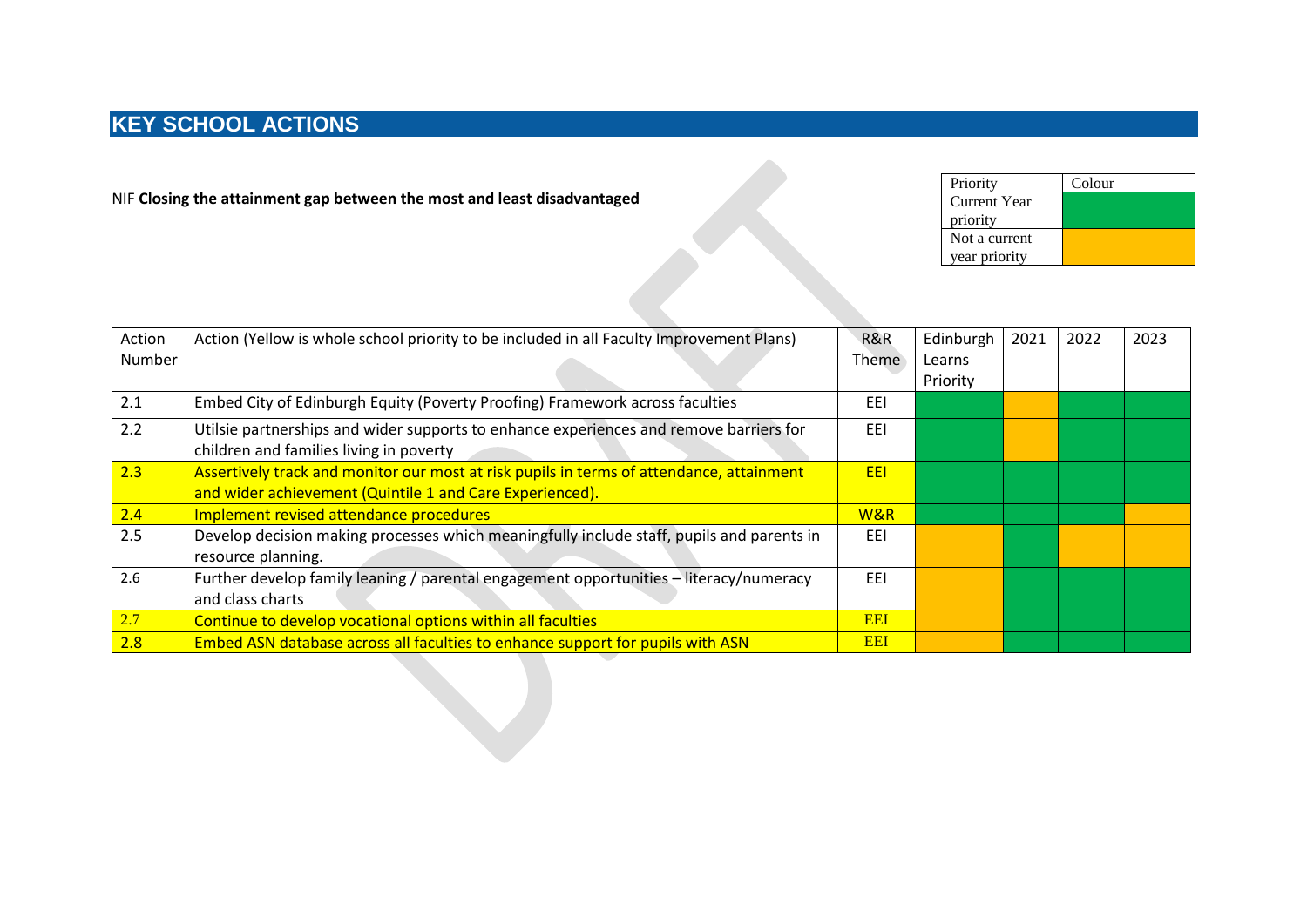NIF **Closing the attainment gap between the most and least disadvantaged**

| Priority      | Colour |
|---------------|--------|
| Current Year  |        |
| priority      |        |
| Not a current |        |
| year priority |        |

| Action | Action (Yellow is whole school priority to be included in all Faculty Improvement Plans)  | R&R        | Edinburgh | 2021 | 2022 | 2023 |
|--------|-------------------------------------------------------------------------------------------|------------|-----------|------|------|------|
| Number |                                                                                           | Theme      | Learns    |      |      |      |
|        |                                                                                           |            | Priority  |      |      |      |
| 2.1    | Embed City of Edinburgh Equity (Poverty Proofing) Framework across faculties              | EEI        |           |      |      |      |
| 2.2    | Utilsie partnerships and wider supports to enhance experiences and remove barriers for    | EEI        |           |      |      |      |
|        | children and families living in poverty                                                   |            |           |      |      |      |
| 2.3    | Assertively track and monitor our most at risk pupils in terms of attendance, attainment  | EEI        |           |      |      |      |
|        | and wider achievement (Quintile 1 and Care Experienced).                                  |            |           |      |      |      |
| 2.4    | Implement revised attendance procedures                                                   | W&R        |           |      |      |      |
| 2.5    | Develop decision making processes which meaningfully include staff, pupils and parents in | EEI        |           |      |      |      |
|        | resource planning.                                                                        |            |           |      |      |      |
| 2.6    | Further develop family leaning / parental engagement opportunities - literacy/numeracy    | EEI        |           |      |      |      |
|        | and class charts                                                                          |            |           |      |      |      |
| 2.7    | Continue to develop vocational options within all faculties                               | <b>EEI</b> |           |      |      |      |
| 2.8    | Embed ASN database across all faculties to enhance support for pupils with ASN            | <b>EEI</b> |           |      |      |      |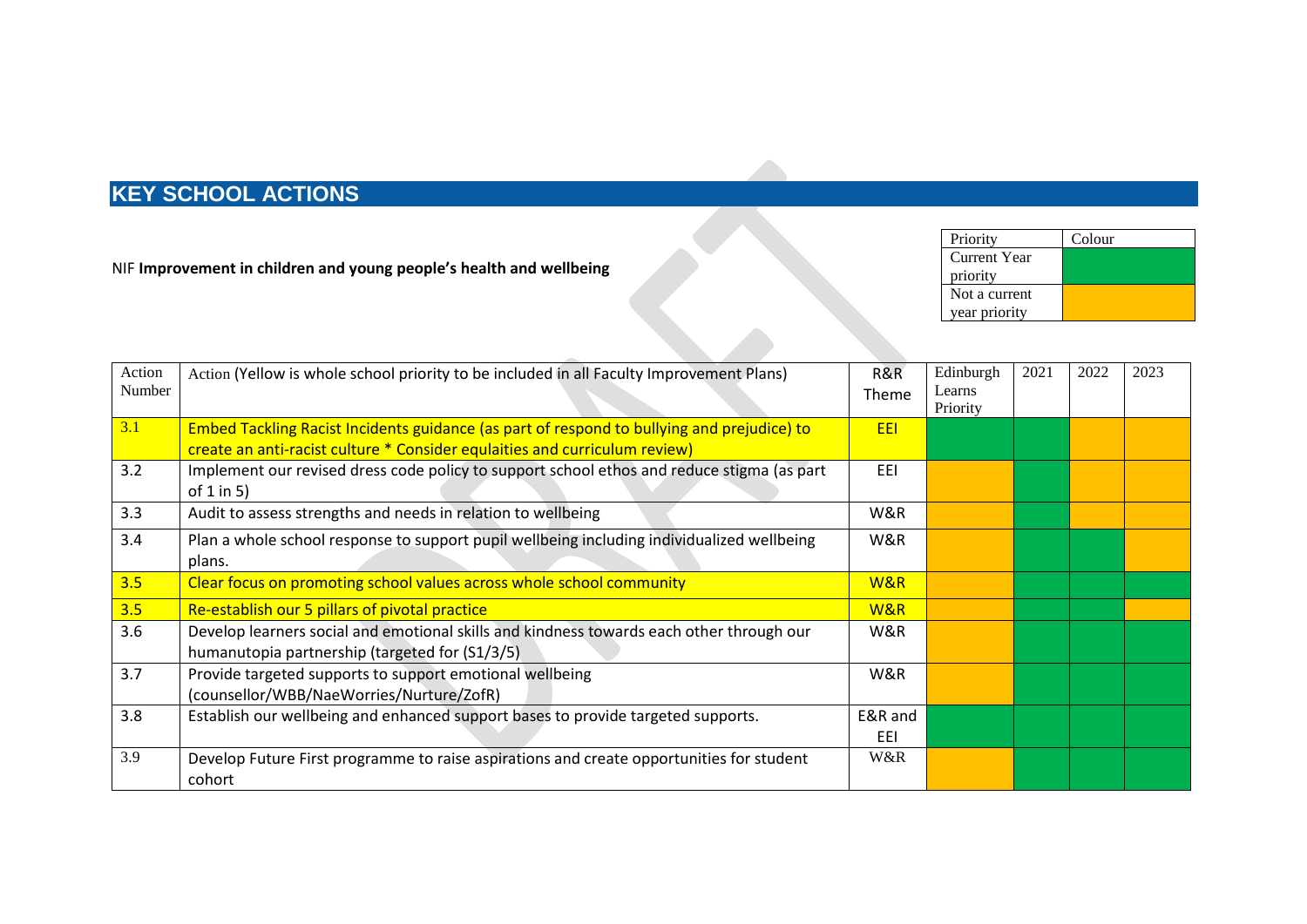| NIF Improvement in children and young people's health and wellbeing |  | Current Year<br>priority |  |
|---------------------------------------------------------------------|--|--------------------------|--|
|                                                                     |  | Not a current            |  |
|                                                                     |  | year priority            |  |
|                                                                     |  |                          |  |

 $\mathcal{L}$ 

Priority Colour

| Action | Action (Yellow is whole school priority to be included in all Faculty Improvement Plans)   | R&R          | Edinburgh | 2021 | 2022 | 2023 |
|--------|--------------------------------------------------------------------------------------------|--------------|-----------|------|------|------|
| Number |                                                                                            | <b>Theme</b> | Learns    |      |      |      |
|        |                                                                                            |              | Priority  |      |      |      |
| 3.1    | Embed Tackling Racist Incidents guidance (as part of respond to bullying and prejudice) to | <b>EEI</b>   |           |      |      |      |
|        | create an anti-racist culture * Consider equlaities and curriculum review)                 |              |           |      |      |      |
| 3.2    | Implement our revised dress code policy to support school ethos and reduce stigma (as part | EEI          |           |      |      |      |
|        | of $1$ in $5$ )                                                                            |              |           |      |      |      |
| 3.3    | Audit to assess strengths and needs in relation to wellbeing                               | W&R          |           |      |      |      |
| 3.4    | Plan a whole school response to support pupil wellbeing including individualized wellbeing | W&R          |           |      |      |      |
|        | plans.                                                                                     |              |           |      |      |      |
| 3.5    | Clear focus on promoting school values across whole school community                       | W&R          |           |      |      |      |
| 3.5    | Re-establish our 5 pillars of pivotal practice                                             | W&R          |           |      |      |      |
| 3.6    | Develop learners social and emotional skills and kindness towards each other through our   | W&R          |           |      |      |      |
|        | humanutopia partnership (targeted for (S1/3/5)                                             |              |           |      |      |      |
| 3.7    | Provide targeted supports to support emotional wellbeing                                   | W&R          |           |      |      |      |
|        | (counsellor/WBB/NaeWorries/Nurture/ZofR)                                                   |              |           |      |      |      |
| 3.8    | Establish our wellbeing and enhanced support bases to provide targeted supports.           | E&R and      |           |      |      |      |
|        |                                                                                            | EEI          |           |      |      |      |
| 3.9    | Develop Future First programme to raise aspirations and create opportunities for student   | W&R          |           |      |      |      |
|        | cohort                                                                                     |              |           |      |      |      |
|        |                                                                                            |              |           |      |      |      |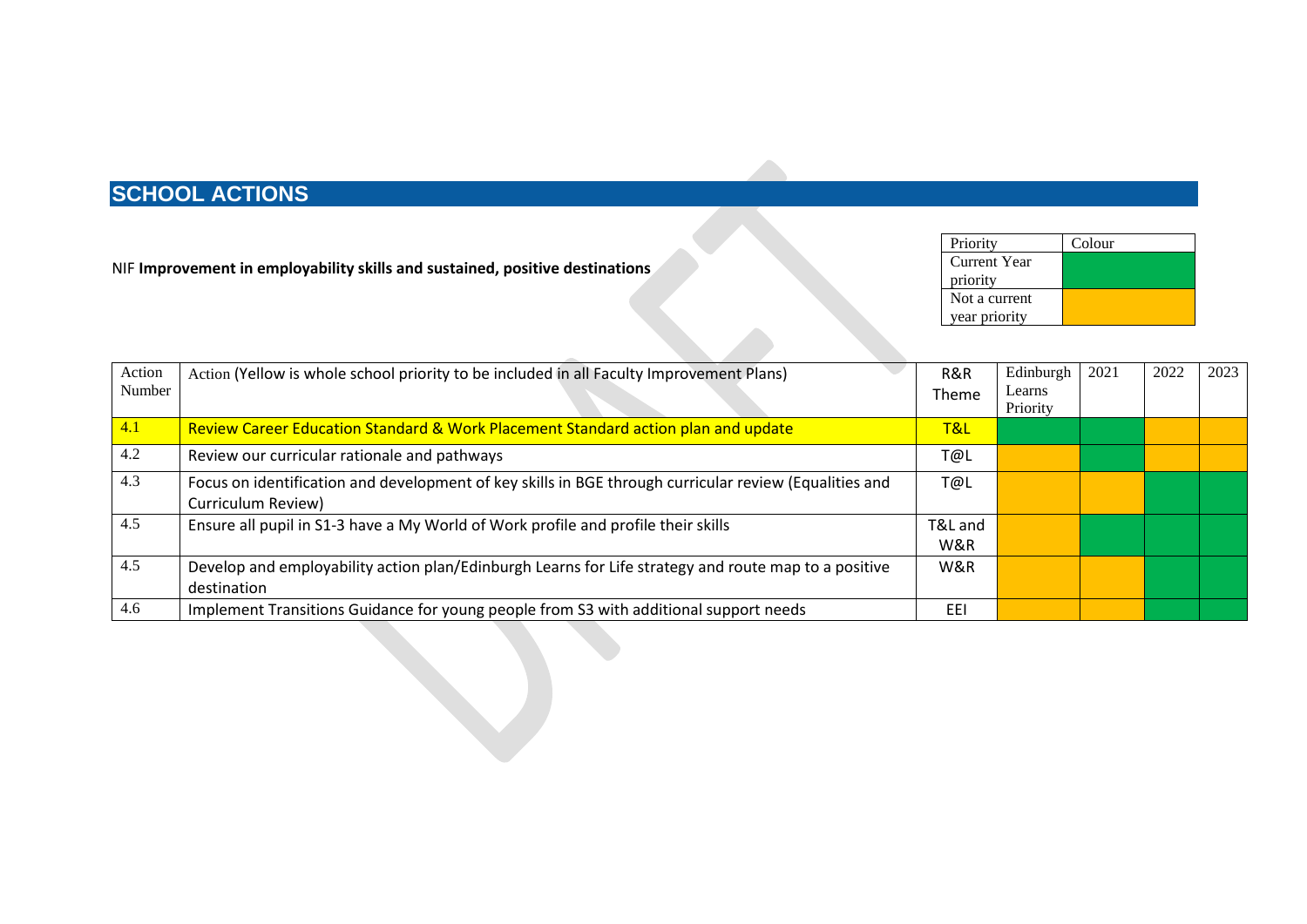NIF **Improvement in employability skills and sustained, positive destinations**

| Priority      | Colour |
|---------------|--------|
| Current Year  |        |
| priority      |        |
| Not a current |        |
| year priority |        |

| Action | Action (Yellow is whole school priority to be included in all Faculty Improvement Plans)               | R&R     | Edinburgh          | 2021 | 2022 | 2023 |
|--------|--------------------------------------------------------------------------------------------------------|---------|--------------------|------|------|------|
| Number |                                                                                                        | Theme   | Learns<br>Priority |      |      |      |
| 4.1    | Review Career Education Standard & Work Placement Standard action plan and update                      | T&L     |                    |      |      |      |
|        |                                                                                                        |         |                    |      |      |      |
| 4.2    | Review our curricular rationale and pathways                                                           | T@L     |                    |      |      |      |
| 4.3    | Focus on identification and development of key skills in BGE through curricular review (Equalities and | T@L     |                    |      |      |      |
|        | Curriculum Review)                                                                                     |         |                    |      |      |      |
| 4.5    | Ensure all pupil in S1-3 have a My World of Work profile and profile their skills                      | T&L and |                    |      |      |      |
|        |                                                                                                        | W&R     |                    |      |      |      |
| 4.5    | Develop and employability action plan/Edinburgh Learns for Life strategy and route map to a positive   | W&R     |                    |      |      |      |
|        | destination                                                                                            |         |                    |      |      |      |
| 4.6    | Implement Transitions Guidance for young people from S3 with additional support needs                  | EEI     |                    |      |      |      |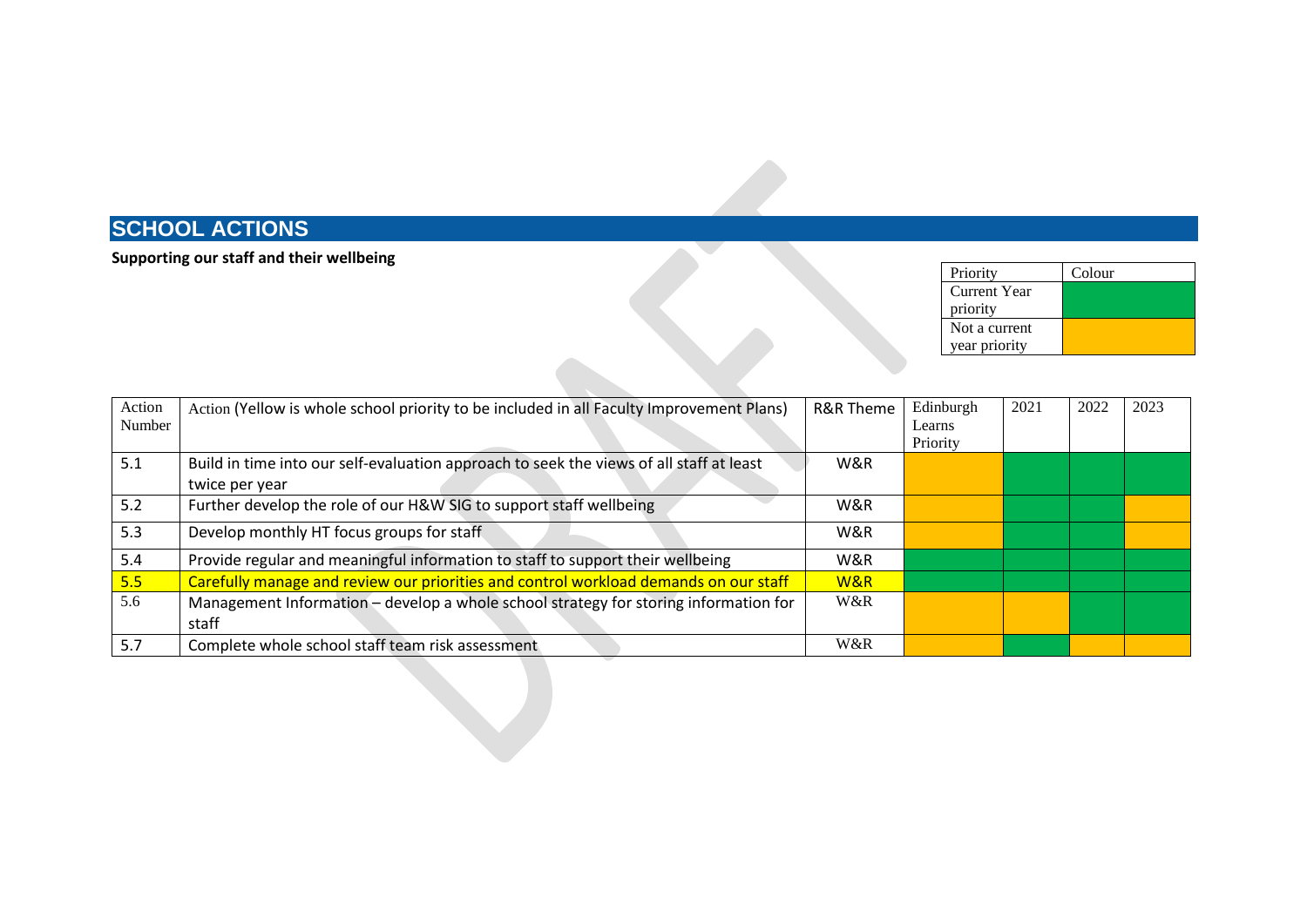#### **Supporting our staff and their wellbeing**

| Priority            | Colour |
|---------------------|--------|
| <b>Current Year</b> |        |
| priority            |        |
| Not a current       |        |
| year priority       |        |

| Action | Action (Yellow is whole school priority to be included in all Faculty Improvement Plans) | R&R Theme | Edinburgh | 2021 | 2022 | 2023 |
|--------|------------------------------------------------------------------------------------------|-----------|-----------|------|------|------|
| Number |                                                                                          |           | Learns    |      |      |      |
|        |                                                                                          |           | Priority  |      |      |      |
| 5.1    | Build in time into our self-evaluation approach to seek the views of all staff at least  | W&R       |           |      |      |      |
|        | twice per year                                                                           |           |           |      |      |      |
| 5.2    | Further develop the role of our H&W SIG to support staff wellbeing                       | W&R       |           |      |      |      |
| 5.3    | Develop monthly HT focus groups for staff                                                | W&R       |           |      |      |      |
| 5.4    | Provide regular and meaningful information to staff to support their wellbeing           | W&R       |           |      |      |      |
| 5.5    | Carefully manage and review our priorities and control workload demands on our staff     | W&R       |           |      |      |      |
| 5.6    | Management Information - develop a whole school strategy for storing information for     | W&R       |           |      |      |      |
|        | staff                                                                                    |           |           |      |      |      |
| 5.7    | Complete whole school staff team risk assessment                                         | W&R       |           |      |      |      |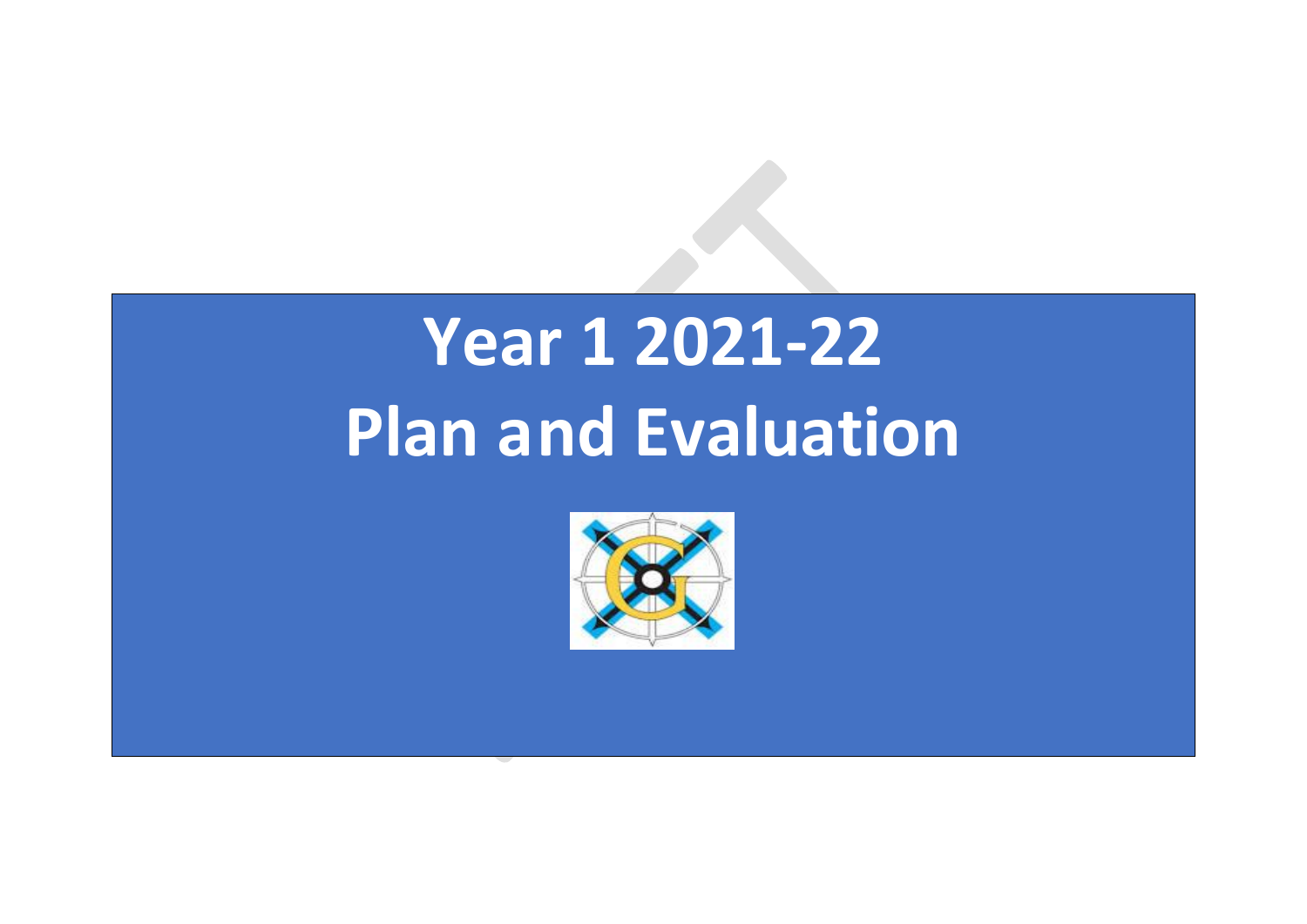# **Year 1 2021-22 Plan and Evaluation**

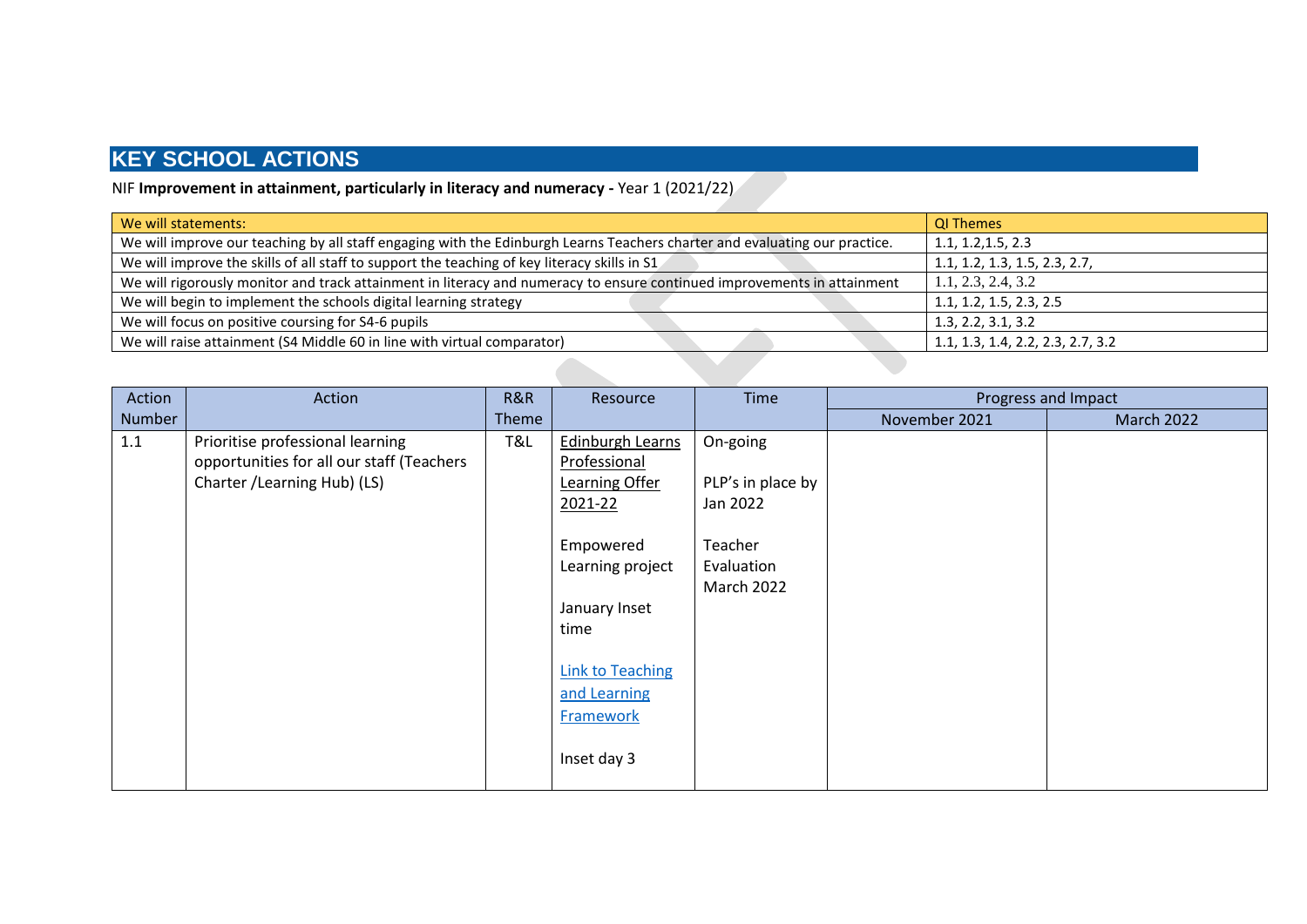#### NIF **Improvement in attainment, particularly in literacy and numeracy -** Year 1 (2021/22)

| We will statements:                                                                                                        | <b>QI Themes</b>                  |
|----------------------------------------------------------------------------------------------------------------------------|-----------------------------------|
| We will improve our teaching by all staff engaging with the Edinburgh Learns Teachers charter and evaluating our practice. | 1.1, 1.2, 1.5, 2.3                |
| We will improve the skills of all staff to support the teaching of key literacy skills in S1                               | 1.1, 1.2, 1.3, 1.5, 2.3, 2.7,     |
| We will rigorously monitor and track attainment in literacy and numeracy to ensure continued improvements in attainment    | 1.1, 2.3, 2.4, 3.2                |
| We will begin to implement the schools digital learning strategy                                                           | 1.1, 1.2, 1.5, 2.3, 2.5           |
| We will focus on positive coursing for S4-6 pupils                                                                         | 1.3, 2.2, 3.1, 3.2                |
| We will raise attainment (S4 Middle 60 in line with virtual comparator)                                                    | 1.1, 1.3, 1.4, 2.2, 2.3, 2.7, 3.2 |

| Action | Action                                                                                                        | R&R   | Resource                                                                                                                                                                                              | Time                                                                                    | Progress and Impact |                   |  |
|--------|---------------------------------------------------------------------------------------------------------------|-------|-------------------------------------------------------------------------------------------------------------------------------------------------------------------------------------------------------|-----------------------------------------------------------------------------------------|---------------------|-------------------|--|
| Number |                                                                                                               | Theme |                                                                                                                                                                                                       |                                                                                         | November 2021       | <b>March 2022</b> |  |
| 1.1    | Prioritise professional learning<br>opportunities for all our staff (Teachers<br>Charter / Learning Hub) (LS) | T&L   | <b>Edinburgh Learns</b><br>Professional<br>Learning Offer<br>2021-22<br>Empowered<br>Learning project<br>January Inset<br>time<br>Link to Teaching<br>and Learning<br><b>Framework</b><br>Inset day 3 | On-going<br>PLP's in place by<br>Jan 2022<br>Teacher<br>Evaluation<br><b>March 2022</b> |                     |                   |  |
|        |                                                                                                               |       |                                                                                                                                                                                                       |                                                                                         |                     |                   |  |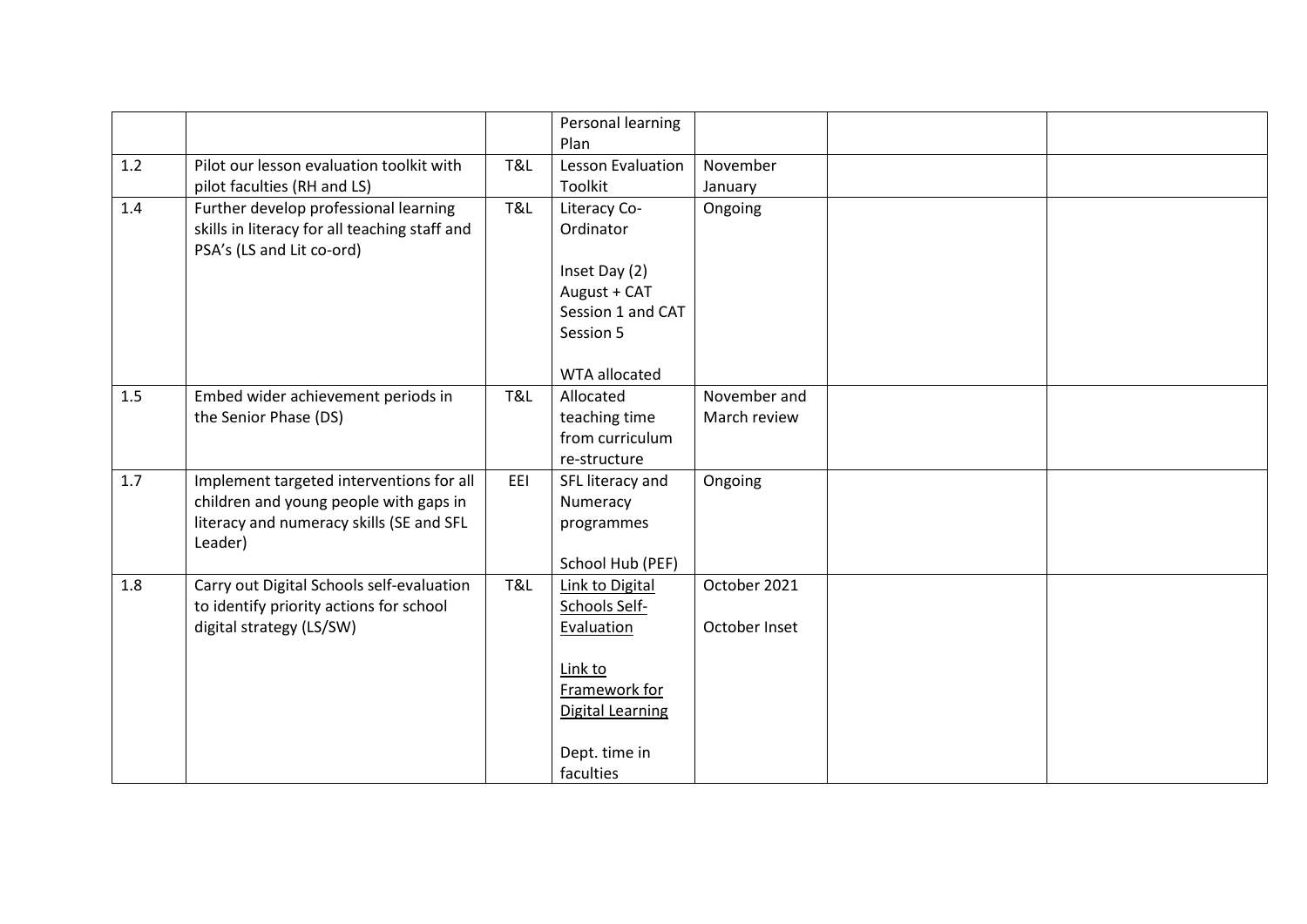|     |                                                                                                                                           |     | Personal learning<br>Plan                                                                                                           |                               |  |
|-----|-------------------------------------------------------------------------------------------------------------------------------------------|-----|-------------------------------------------------------------------------------------------------------------------------------------|-------------------------------|--|
| 1.2 | Pilot our lesson evaluation toolkit with<br>pilot faculties (RH and LS)                                                                   | T&L | Lesson Evaluation<br>Toolkit                                                                                                        | November<br>January           |  |
| 1.4 | Further develop professional learning<br>skills in literacy for all teaching staff and<br>PSA's (LS and Lit co-ord)                       | T&L | Literacy Co-<br>Ordinator<br>Inset Day (2)<br>August + CAT<br>Session 1 and CAT<br>Session 5                                        | Ongoing                       |  |
| 1.5 | Embed wider achievement periods in<br>the Senior Phase (DS)                                                                               | T&L | WTA allocated<br>Allocated<br>teaching time<br>from curriculum<br>re-structure                                                      | November and<br>March review  |  |
| 1.7 | Implement targeted interventions for all<br>children and young people with gaps in<br>literacy and numeracy skills (SE and SFL<br>Leader) | EEI | SFL literacy and<br>Numeracy<br>programmes<br>School Hub (PEF)                                                                      | Ongoing                       |  |
| 1.8 | Carry out Digital Schools self-evaluation<br>to identify priority actions for school<br>digital strategy (LS/SW)                          | T&L | Link to Digital<br>Schools Self-<br>Evaluation<br>Link to<br>Framework for<br><b>Digital Learning</b><br>Dept. time in<br>faculties | October 2021<br>October Inset |  |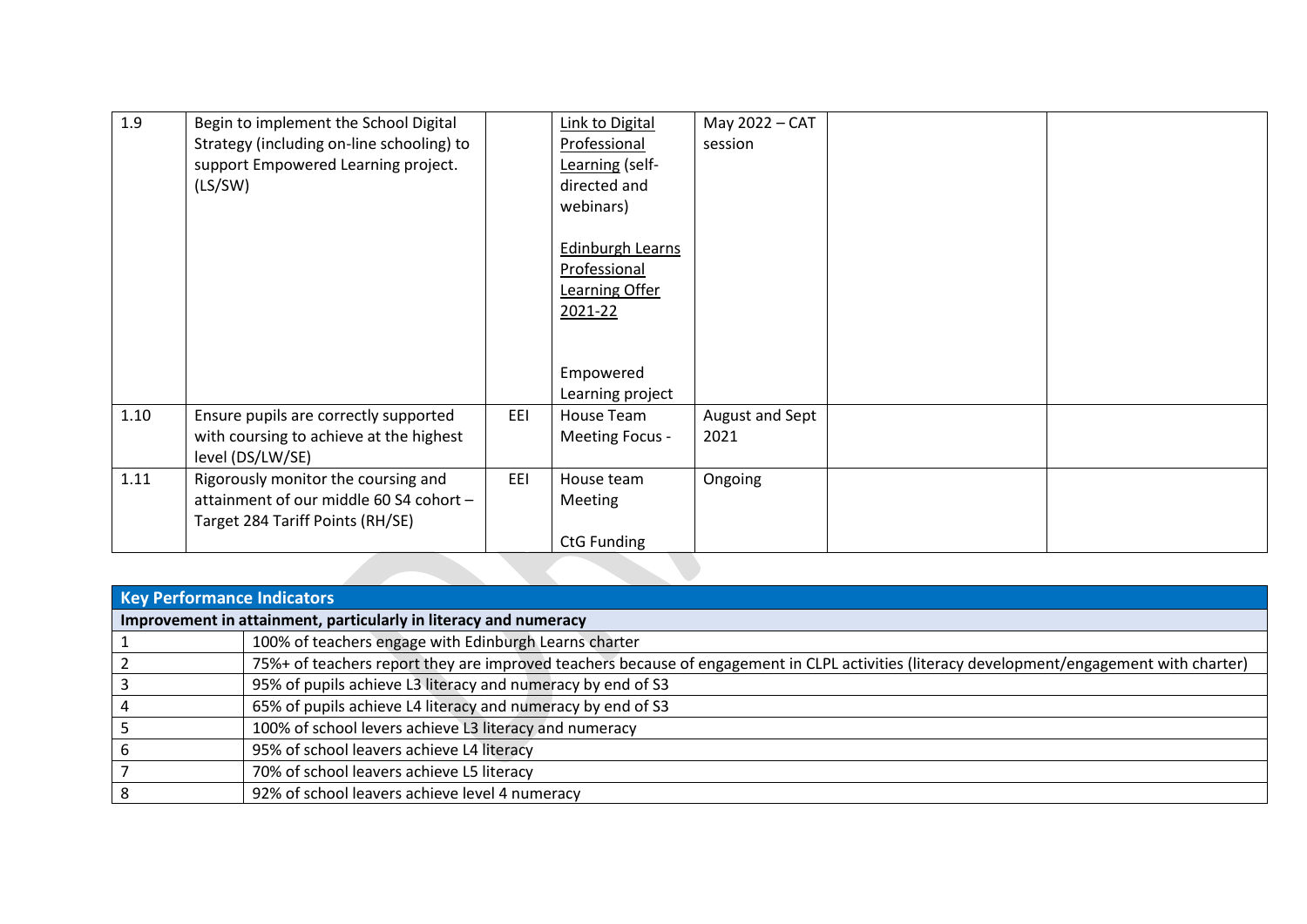| 1.9  | Begin to implement the School Digital     |     | <b>Link to Digital</b> | May 2022 - CAT  |  |
|------|-------------------------------------------|-----|------------------------|-----------------|--|
|      | Strategy (including on-line schooling) to |     | Professional           | session         |  |
|      | support Empowered Learning project.       |     | Learning (self-        |                 |  |
|      | (LS/SW)                                   |     | directed and           |                 |  |
|      |                                           |     | webinars)              |                 |  |
|      |                                           |     |                        |                 |  |
|      |                                           |     | Edinburgh Learns       |                 |  |
|      |                                           |     | Professional           |                 |  |
|      |                                           |     | Learning Offer         |                 |  |
|      |                                           |     | 2021-22                |                 |  |
|      |                                           |     |                        |                 |  |
|      |                                           |     |                        |                 |  |
|      |                                           |     | Empowered              |                 |  |
|      |                                           |     |                        |                 |  |
|      |                                           |     | Learning project       |                 |  |
| 1.10 | Ensure pupils are correctly supported     | EEI | House Team             | August and Sept |  |
|      | with coursing to achieve at the highest   |     | Meeting Focus -        | 2021            |  |
|      | level (DS/LW/SE)                          |     |                        |                 |  |
| 1.11 | Rigorously monitor the coursing and       | EEI | House team             | Ongoing         |  |
|      | attainment of our middle 60 S4 cohort -   |     | Meeting                |                 |  |
|      | Target 284 Tariff Points (RH/SE)          |     |                        |                 |  |
|      |                                           |     | <b>CtG Funding</b>     |                 |  |
|      |                                           |     |                        |                 |  |
|      |                                           |     |                        |                 |  |

| <b>Key Performance Indicators</b>                                                                                                          |  |  |  |  |  |  |
|--------------------------------------------------------------------------------------------------------------------------------------------|--|--|--|--|--|--|
| Improvement in attainment, particularly in literacy and numeracy                                                                           |  |  |  |  |  |  |
| 100% of teachers engage with Edinburgh Learns charter                                                                                      |  |  |  |  |  |  |
| 75%+ of teachers report they are improved teachers because of engagement in CLPL activities (literacy development/engagement with charter) |  |  |  |  |  |  |
| 95% of pupils achieve L3 literacy and numeracy by end of S3                                                                                |  |  |  |  |  |  |
| 65% of pupils achieve L4 literacy and numeracy by end of S3                                                                                |  |  |  |  |  |  |
| 100% of school levers achieve L3 literacy and numeracy                                                                                     |  |  |  |  |  |  |
| 95% of school leavers achieve L4 literacy                                                                                                  |  |  |  |  |  |  |
| 70% of school leavers achieve L5 literacy                                                                                                  |  |  |  |  |  |  |
| 92% of school leavers achieve level 4 numeracy                                                                                             |  |  |  |  |  |  |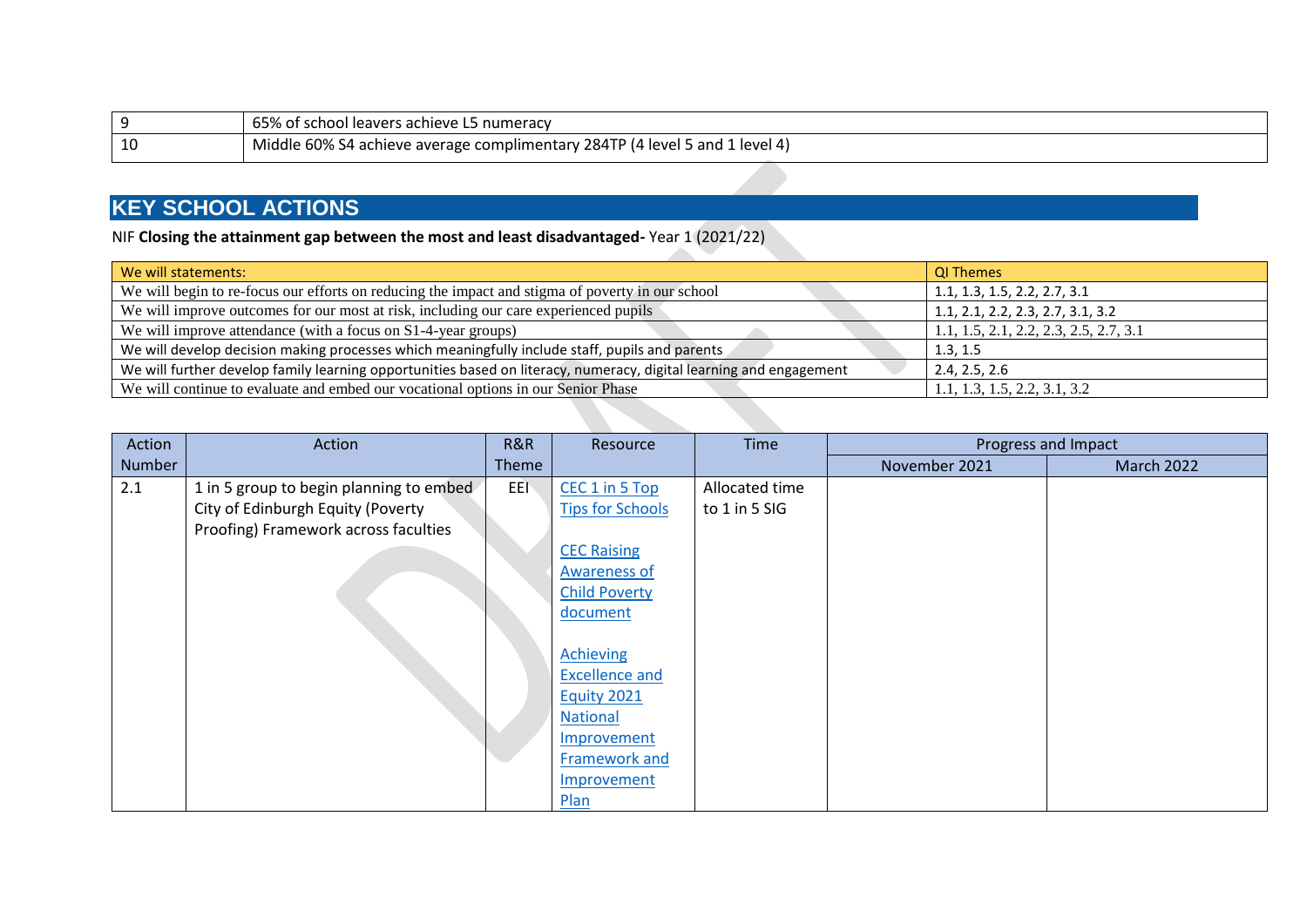|    | 65% of school leavers achieve L5 numeracy                                   |
|----|-----------------------------------------------------------------------------|
| 10 | Middle 60% S4 achieve average complimentary 284TP (4 level 5 and 1 level 4) |

NIF **Closing the attainment gap between the most and least disadvantaged-** Year 1 (2021/22)

| We will statements:                                                                                                | <b>QI Themes</b>                       |
|--------------------------------------------------------------------------------------------------------------------|----------------------------------------|
| We will begin to re-focus our efforts on reducing the impact and stigma of poverty in our school                   | 1.1, 1.3, 1.5, 2.2, 2.7, 3.1           |
| We will improve outcomes for our most at risk, including our care experienced pupils                               | 1.1, 2.1, 2.2, 2.3, 2.7, 3.1, 3.2      |
| We will improve attendance (with a focus on S1-4-year groups)                                                      | 1.1, 1.5, 2.1, 2.2, 2.3, 2.5, 2.7, 3.1 |
| We will develop decision making processes which meaningfully include staff, pupils and parents                     | 1.3, 1.5                               |
| We will further develop family learning opportunities based on literacy, numeracy, digital learning and engagement | 2.4, 2.5, 2.6                          |
| We will continue to evaluate and embed our vocational options in our Senior Phase                                  | 1.1, 1.3, 1.5, 2.2, 3.1, 3.2           |
|                                                                                                                    |                                        |

| Action | Action                                  | R&R   | Resource                | Time           |               | Progress and Impact |
|--------|-----------------------------------------|-------|-------------------------|----------------|---------------|---------------------|
| Number |                                         | Theme |                         |                | November 2021 | <b>March 2022</b>   |
| 2.1    | 1 in 5 group to begin planning to embed | EEI   | CEC 1 in 5 Top          | Allocated time |               |                     |
|        | City of Edinburgh Equity (Poverty       |       | <b>Tips for Schools</b> | to 1 in 5 SIG  |               |                     |
|        | Proofing) Framework across faculties    |       |                         |                |               |                     |
|        |                                         |       | <b>CEC Raising</b>      |                |               |                     |
|        |                                         |       | <b>Awareness of</b>     |                |               |                     |
|        |                                         |       | <b>Child Poverty</b>    |                |               |                     |
|        |                                         |       | document                |                |               |                     |
|        |                                         |       |                         |                |               |                     |
|        |                                         |       | <b>Achieving</b>        |                |               |                     |
|        |                                         |       | <b>Excellence and</b>   |                |               |                     |
|        |                                         |       | Equity 2021             |                |               |                     |
|        |                                         |       | <b>National</b>         |                |               |                     |
|        |                                         |       | Improvement             |                |               |                     |
|        |                                         |       | Framework and           |                |               |                     |
|        |                                         |       | Improvement             |                |               |                     |
|        |                                         |       | Plan                    |                |               |                     |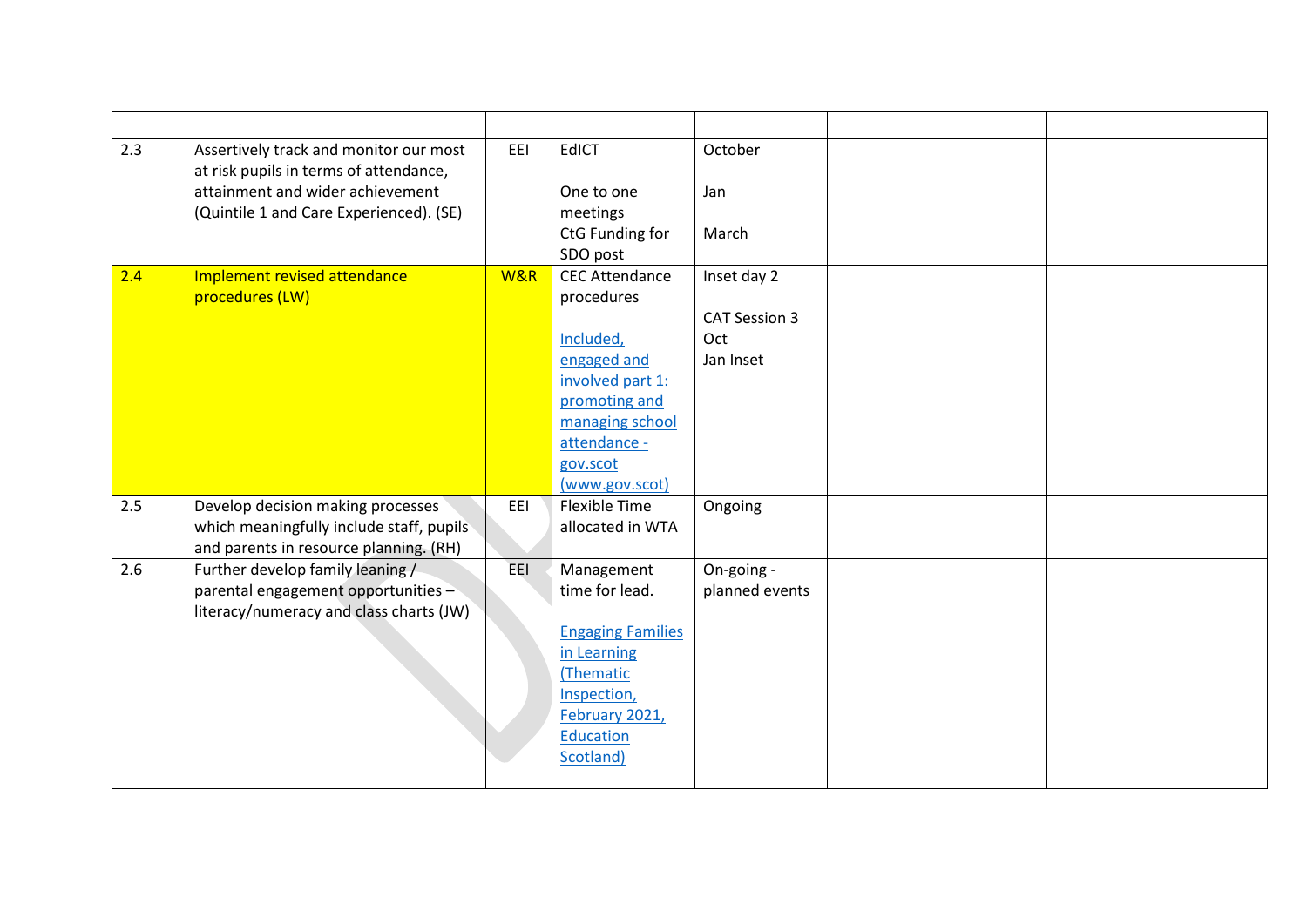| 2.3 | Assertively track and monitor our most   | EEI | <b>EdICT</b>             | October              |  |
|-----|------------------------------------------|-----|--------------------------|----------------------|--|
|     | at risk pupils in terms of attendance,   |     |                          |                      |  |
|     | attainment and wider achievement         |     | One to one               | Jan                  |  |
|     | (Quintile 1 and Care Experienced). (SE)  |     | meetings                 |                      |  |
|     |                                          |     | CtG Funding for          | March                |  |
|     |                                          |     | SDO post                 |                      |  |
| 2.4 | Implement revised attendance             | W&R | <b>CEC Attendance</b>    | Inset day 2          |  |
|     | procedures (LW)                          |     | procedures               |                      |  |
|     |                                          |     |                          | <b>CAT Session 3</b> |  |
|     |                                          |     | Included,                | Oct                  |  |
|     |                                          |     | engaged and              | Jan Inset            |  |
|     |                                          |     | involved part 1:         |                      |  |
|     |                                          |     | promoting and            |                      |  |
|     |                                          |     | managing school          |                      |  |
|     |                                          |     | attendance -             |                      |  |
|     |                                          |     | gov.scot                 |                      |  |
|     |                                          |     | (www.gov.scot)           |                      |  |
| 2.5 | Develop decision making processes        | EEI | <b>Flexible Time</b>     | Ongoing              |  |
|     | which meaningfully include staff, pupils |     | allocated in WTA         |                      |  |
|     | and parents in resource planning. (RH)   |     |                          |                      |  |
| 2.6 | Further develop family leaning /         | EEI | Management               | On-going -           |  |
|     | parental engagement opportunities -      |     | time for lead.           | planned events       |  |
|     | literacy/numeracy and class charts (JW)  |     |                          |                      |  |
|     |                                          |     | <b>Engaging Families</b> |                      |  |
|     |                                          |     | in Learning<br>(Thematic |                      |  |
|     |                                          |     | Inspection,              |                      |  |
|     |                                          |     | February 2021,           |                      |  |
|     |                                          |     | Education                |                      |  |
|     |                                          |     | Scotland)                |                      |  |
|     |                                          |     |                          |                      |  |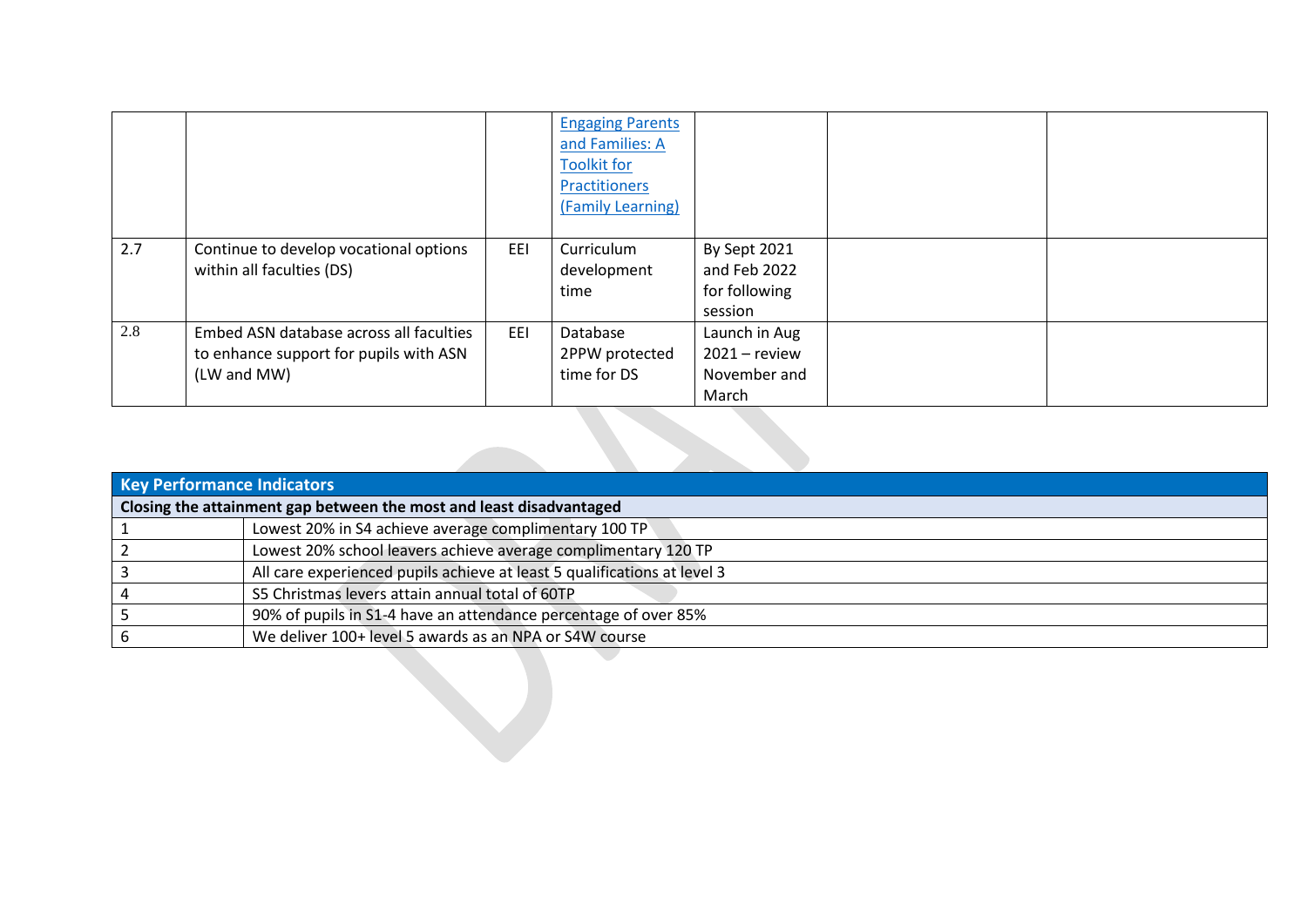|     |                                                                                                  |     | <b>Engaging Parents</b><br>and Families: A<br><b>Toolkit for</b><br><b>Practitioners</b><br>(Family Learning) |                                                           |  |
|-----|--------------------------------------------------------------------------------------------------|-----|---------------------------------------------------------------------------------------------------------------|-----------------------------------------------------------|--|
| 2.7 | Continue to develop vocational options<br>within all faculties (DS)                              | EEI | Curriculum<br>development<br>time                                                                             | By Sept 2021<br>and Feb 2022<br>for following<br>session  |  |
| 2.8 | Embed ASN database across all faculties<br>to enhance support for pupils with ASN<br>(LW and MW) | EEI | Database<br>2PPW protected<br>time for DS                                                                     | Launch in Aug<br>$2021 -$ review<br>November and<br>March |  |

| <b>Key Performance Indicators</b> |                                                                          |  |  |  |  |
|-----------------------------------|--------------------------------------------------------------------------|--|--|--|--|
|                                   | Closing the attainment gap between the most and least disadvantaged      |  |  |  |  |
|                                   | Lowest 20% in S4 achieve average complimentary 100 TP                    |  |  |  |  |
|                                   | Lowest 20% school leavers achieve average complimentary 120 TP           |  |  |  |  |
|                                   | All care experienced pupils achieve at least 5 qualifications at level 3 |  |  |  |  |
|                                   | S5 Christmas levers attain annual total of 60TP                          |  |  |  |  |
|                                   | 90% of pupils in S1-4 have an attendance percentage of over 85%          |  |  |  |  |
|                                   | We deliver 100+ level 5 awards as an NPA or S4W course                   |  |  |  |  |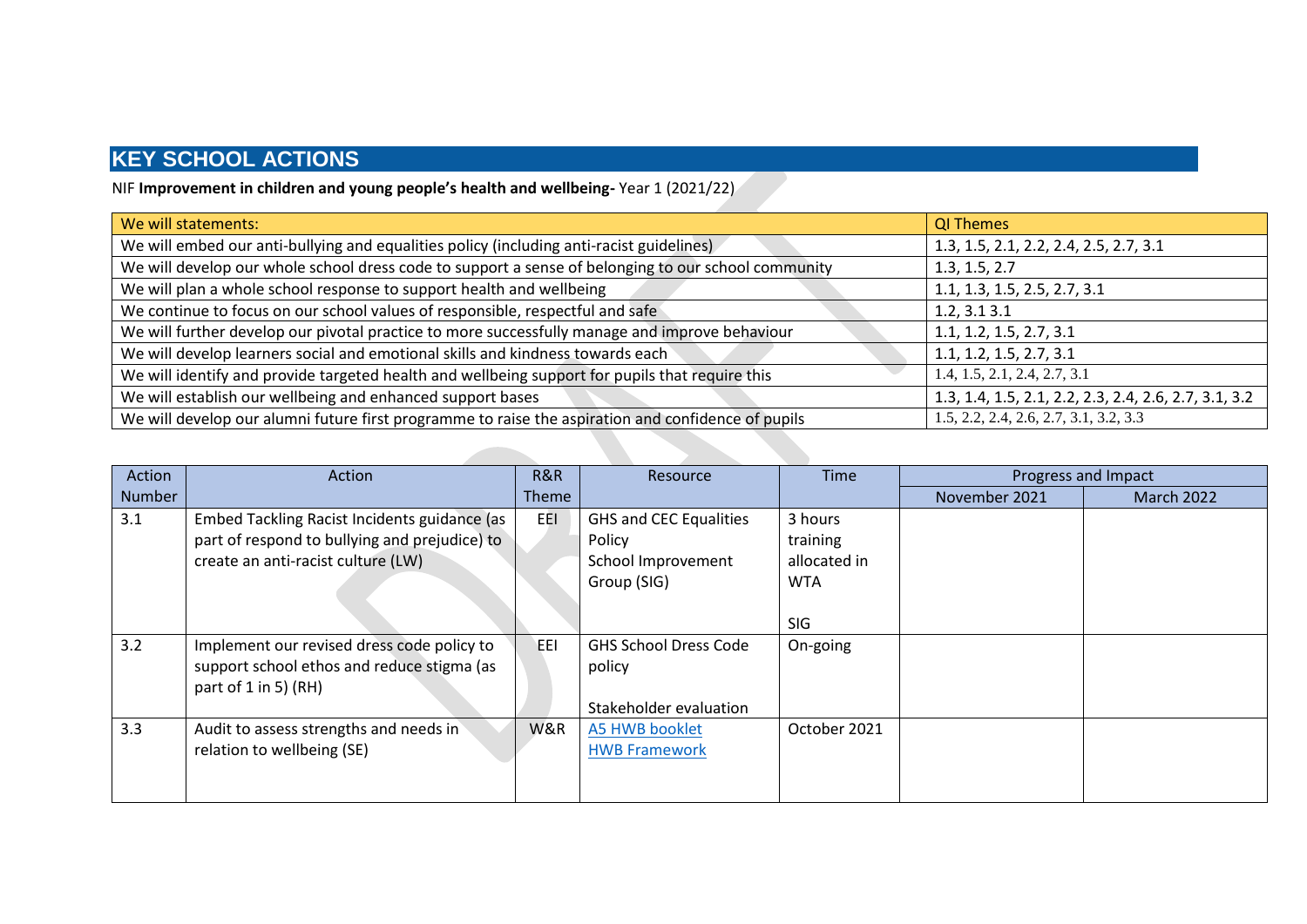NIF **Improvement in children and young people's health and wellbeing-** Year 1 (2021/22)

| We will statements:                                                                                 | <b>QI Themes</b>                                      |
|-----------------------------------------------------------------------------------------------------|-------------------------------------------------------|
| We will embed our anti-bullying and equalities policy (including anti-racist guidelines)            | 1.3, 1.5, 2.1, 2.2, 2.4, 2.5, 2.7, 3.1                |
| We will develop our whole school dress code to support a sense of belonging to our school community | 1.3, 1.5, 2.7                                         |
| We will plan a whole school response to support health and wellbeing                                | 1.1, 1.3, 1.5, 2.5, 2.7, 3.1                          |
| We continue to focus on our school values of responsible, respectful and safe                       | 1.2, 3.13.1                                           |
| We will further develop our pivotal practice to more successfully manage and improve behaviour      | 1.1, 1.2, 1.5, 2.7, 3.1                               |
| We will develop learners social and emotional skills and kindness towards each                      | 1.1, 1.2, 1.5, 2.7, 3.1                               |
| We will identify and provide targeted health and wellbeing support for pupils that require this     | 1.4, 1.5, 2.1, 2.4, 2.7, 3.1                          |
| We will establish our wellbeing and enhanced support bases                                          | 1.3, 1.4, 1.5, 2.1, 2.2, 2.3, 2.4, 2.6, 2.7, 3.1, 3.2 |
| We will develop our alumni future first programme to raise the aspiration and confidence of pupils  | $1.5, 2.2, 2.4, 2.6, 2.7, 3.1, 3.2, 3.3$              |

| Action | <b>Action</b>                                                                                                                       | R&R          | Resource                                                                     | Time                                              | Progress and Impact |                   |
|--------|-------------------------------------------------------------------------------------------------------------------------------------|--------------|------------------------------------------------------------------------------|---------------------------------------------------|---------------------|-------------------|
| Number |                                                                                                                                     | <b>Theme</b> |                                                                              |                                                   | November 2021       | <b>March 2022</b> |
| 3.1    | Embed Tackling Racist Incidents guidance (as<br>part of respond to bullying and prejudice) to<br>create an anti-racist culture (LW) | EEI          | <b>GHS and CEC Equalities</b><br>Policy<br>School Improvement<br>Group (SIG) | 3 hours<br>training<br>allocated in<br><b>WTA</b> |                     |                   |
|        |                                                                                                                                     |              |                                                                              | <b>SIG</b>                                        |                     |                   |
| 3.2    | Implement our revised dress code policy to<br>support school ethos and reduce stigma (as<br>part of $1$ in $5$ ) (RH)               | EEI          | <b>GHS School Dress Code</b><br>policy<br>Stakeholder evaluation             | On-going                                          |                     |                   |
| 3.3    | Audit to assess strengths and needs in<br>relation to wellbeing (SE)                                                                | W&R          | <b>A5 HWB booklet</b><br><b>HWB Framework</b>                                | October 2021                                      |                     |                   |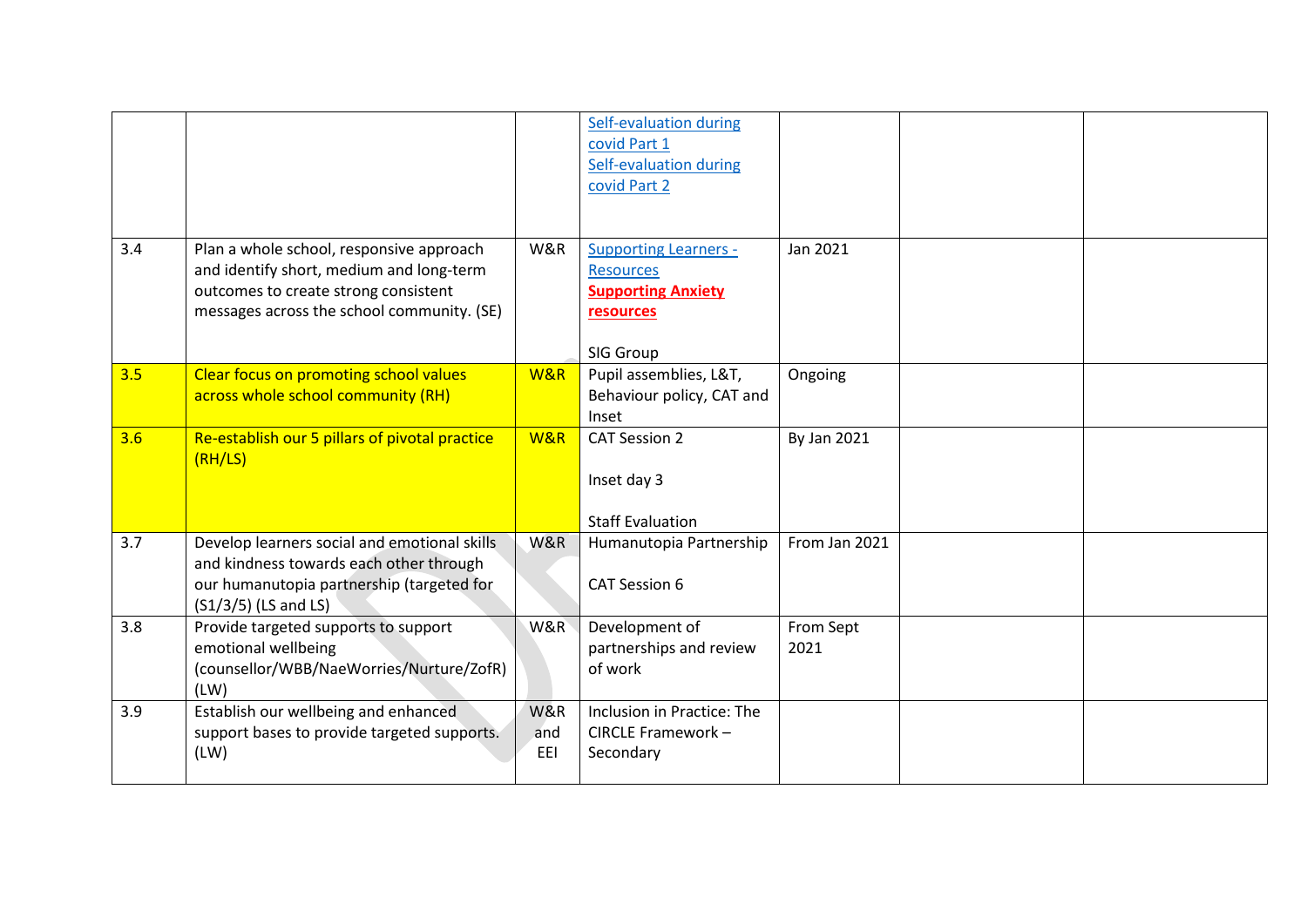|     |                                                                                                                                                                            |                   | Self-evaluation during<br>covid Part 1<br><b>Self-evaluation during</b><br>covid Part 2                 |                   |  |
|-----|----------------------------------------------------------------------------------------------------------------------------------------------------------------------------|-------------------|---------------------------------------------------------------------------------------------------------|-------------------|--|
| 3.4 | Plan a whole school, responsive approach<br>and identify short, medium and long-term<br>outcomes to create strong consistent<br>messages across the school community. (SE) | W&R               | <b>Supporting Learners -</b><br><b>Resources</b><br><b>Supporting Anxiety</b><br>resources<br>SIG Group | Jan 2021          |  |
| 3.5 | <b>Clear focus on promoting school values</b><br>across whole school community (RH)                                                                                        | W&R               | Pupil assemblies, L&T,<br>Behaviour policy, CAT and<br>Inset                                            | Ongoing           |  |
| 3.6 | Re-establish our 5 pillars of pivotal practice<br>(RH/LS)                                                                                                                  | W&R               | <b>CAT Session 2</b><br>Inset day 3<br><b>Staff Evaluation</b>                                          | By Jan 2021       |  |
| 3.7 | Develop learners social and emotional skills<br>and kindness towards each other through<br>our humanutopia partnership (targeted for<br>$(S1/3/5)$ (LS and LS)             | W&R               | Humanutopia Partnership<br>CAT Session 6                                                                | From Jan 2021     |  |
| 3.8 | Provide targeted supports to support<br>emotional wellbeing<br>(counsellor/WBB/NaeWorries/Nurture/ZofR)<br>(LW)                                                            | W&R               | Development of<br>partnerships and review<br>of work                                                    | From Sept<br>2021 |  |
| 3.9 | Establish our wellbeing and enhanced<br>support bases to provide targeted supports.<br>(LW)                                                                                | W&R<br>and<br>EEI | Inclusion in Practice: The<br>CIRCLE Framework -<br>Secondary                                           |                   |  |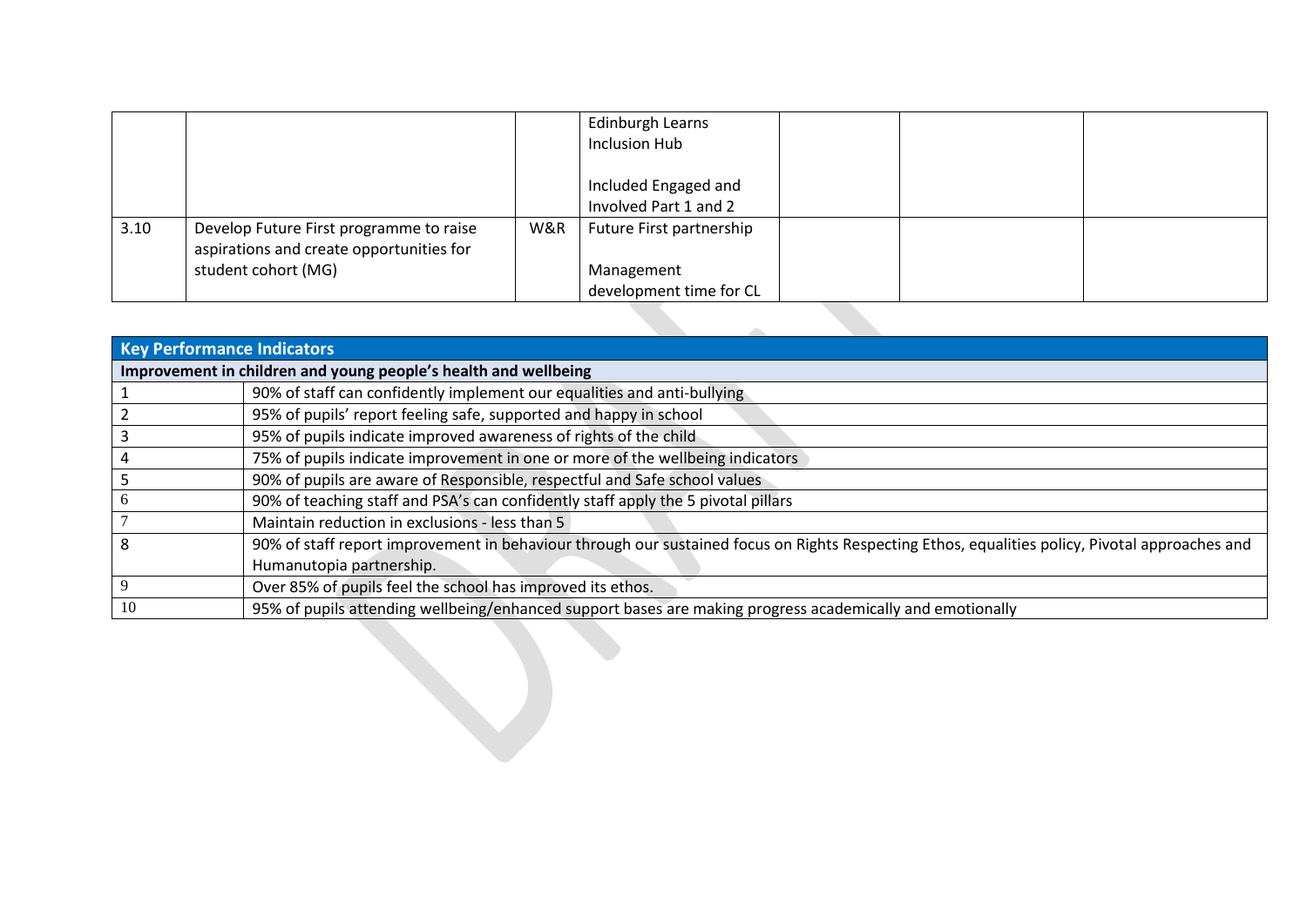|      |                                                                                                            |     | Edinburgh Learns<br>Inclusion Hub             |  |  |
|------|------------------------------------------------------------------------------------------------------------|-----|-----------------------------------------------|--|--|
|      |                                                                                                            |     | Included Engaged and<br>Involved Part 1 and 2 |  |  |
| 3.10 | Develop Future First programme to raise<br>aspirations and create opportunities for<br>student cohort (MG) | W&R | Future First partnership<br>Management        |  |  |
|      |                                                                                                            |     | development time for CL                       |  |  |

|                                   | <u>UCVEIUDITIEIIL LIITE TUI CL</u>                                                                                                             |  |  |  |  |  |  |  |  |  |
|-----------------------------------|------------------------------------------------------------------------------------------------------------------------------------------------|--|--|--|--|--|--|--|--|--|
|                                   |                                                                                                                                                |  |  |  |  |  |  |  |  |  |
| <b>Key Performance Indicators</b> |                                                                                                                                                |  |  |  |  |  |  |  |  |  |
|                                   | Improvement in children and young people's health and wellbeing                                                                                |  |  |  |  |  |  |  |  |  |
|                                   | 90% of staff can confidently implement our equalities and anti-bullying                                                                        |  |  |  |  |  |  |  |  |  |
| $\overline{2}$                    | 95% of pupils' report feeling safe, supported and happy in school                                                                              |  |  |  |  |  |  |  |  |  |
| 3                                 | 95% of pupils indicate improved awareness of rights of the child                                                                               |  |  |  |  |  |  |  |  |  |
| 4                                 | 75% of pupils indicate improvement in one or more of the wellbeing indicators                                                                  |  |  |  |  |  |  |  |  |  |
| 5                                 | 90% of pupils are aware of Responsible, respectful and Safe school values                                                                      |  |  |  |  |  |  |  |  |  |
| 6                                 | 90% of teaching staff and PSA's can confidently staff apply the 5 pivotal pillars                                                              |  |  |  |  |  |  |  |  |  |
| 7                                 | Maintain reduction in exclusions - less than 5                                                                                                 |  |  |  |  |  |  |  |  |  |
| 8                                 | 90% of staff report improvement in behaviour through our sustained focus on Rights Respecting Ethos, equalities policy, Pivotal approaches and |  |  |  |  |  |  |  |  |  |
|                                   | Humanutopia partnership.                                                                                                                       |  |  |  |  |  |  |  |  |  |
| 9                                 | Over 85% of pupils feel the school has improved its ethos.                                                                                     |  |  |  |  |  |  |  |  |  |
| 10                                | 95% of pupils attending wellbeing/enhanced support bases are making progress academically and emotionally                                      |  |  |  |  |  |  |  |  |  |
|                                   |                                                                                                                                                |  |  |  |  |  |  |  |  |  |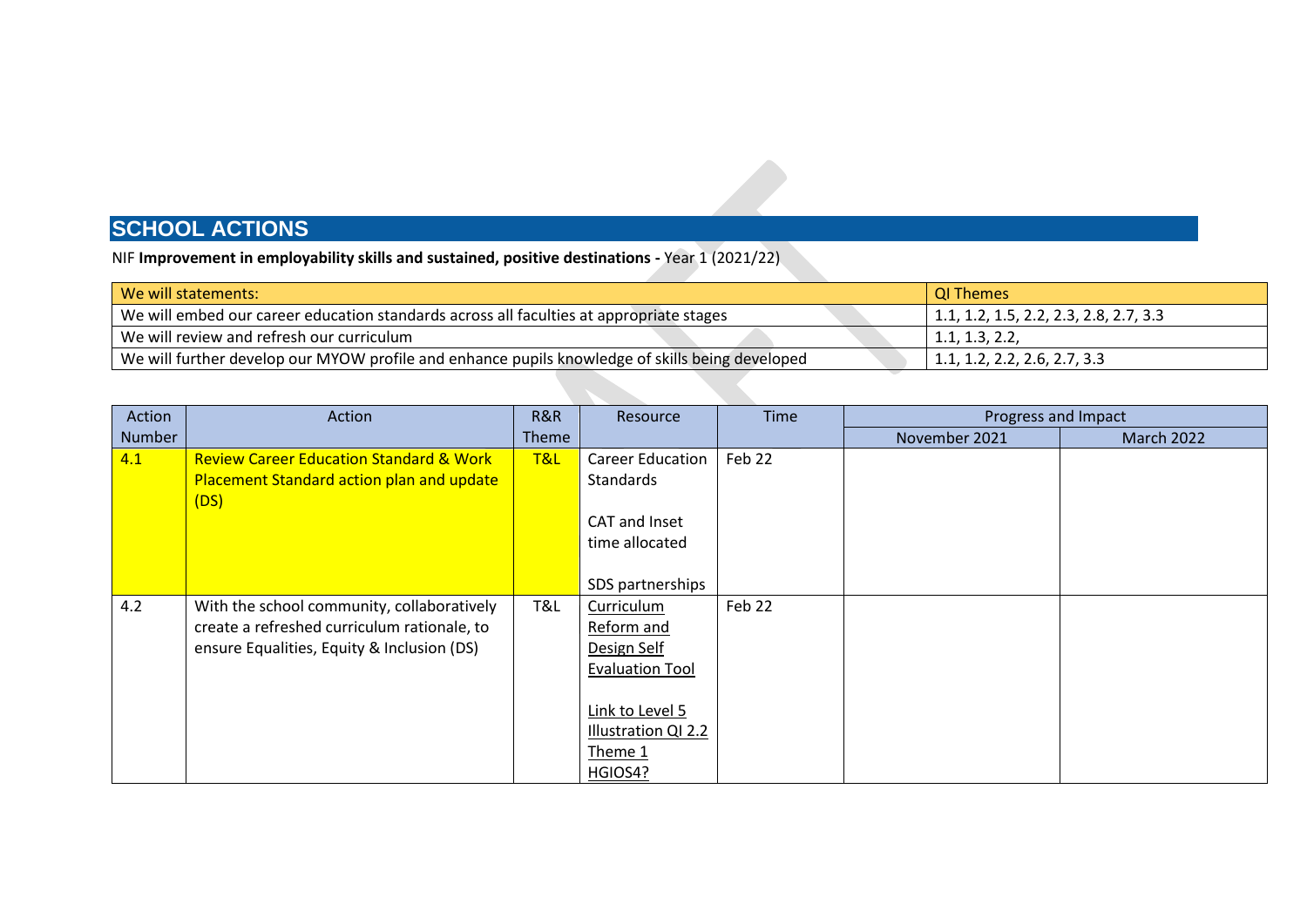NIF **Improvement in employability skills and sustained, positive destinations -** Year 1 (2021/22)

| We will statements:                                                                             | QI Themes                                      |
|-------------------------------------------------------------------------------------------------|------------------------------------------------|
| We will embed our career education standards across all faculties at appropriate stages         | $\vert$ 1.1, 1.2, 1.5, 2.2, 2.3, 2.8, 2.7, 3.3 |
| We will review and refresh our curriculum                                                       | 1.1, 1.3, 2.2,                                 |
| We will further develop our MYOW profile and enhance pupils knowledge of skills being developed | $  1.1, 1.2, 2.2, 2.6, 2.7, 3.3 \rangle$       |

|                                                                                                                                                | R&R            | Resource                                                                                                                          | Time   | Progress and Impact |                   |
|------------------------------------------------------------------------------------------------------------------------------------------------|----------------|-----------------------------------------------------------------------------------------------------------------------------------|--------|---------------------|-------------------|
| Number                                                                                                                                         | <b>Theme</b>   |                                                                                                                                   |        | November 2021       | <b>March 2022</b> |
| 4.1<br><b>Review Career Education Standard &amp; Work</b><br>Placement Standard action plan and update<br>(DS)                                 | <b>T&amp;L</b> | <b>Career Education</b><br><b>Standards</b>                                                                                       | Feb 22 |                     |                   |
|                                                                                                                                                |                | CAT and Inset<br>time allocated                                                                                                   |        |                     |                   |
|                                                                                                                                                |                | SDS partnerships                                                                                                                  |        |                     |                   |
| 4.2<br>With the school community, collaboratively<br>create a refreshed curriculum rationale, to<br>ensure Equalities, Equity & Inclusion (DS) | T&L            | Curriculum<br>Reform and<br>Design Self<br><b>Evaluation Tool</b><br>Link to Level 5<br>Illustration QI 2.2<br>Theme 1<br>HGIOS4? | Feb 22 |                     |                   |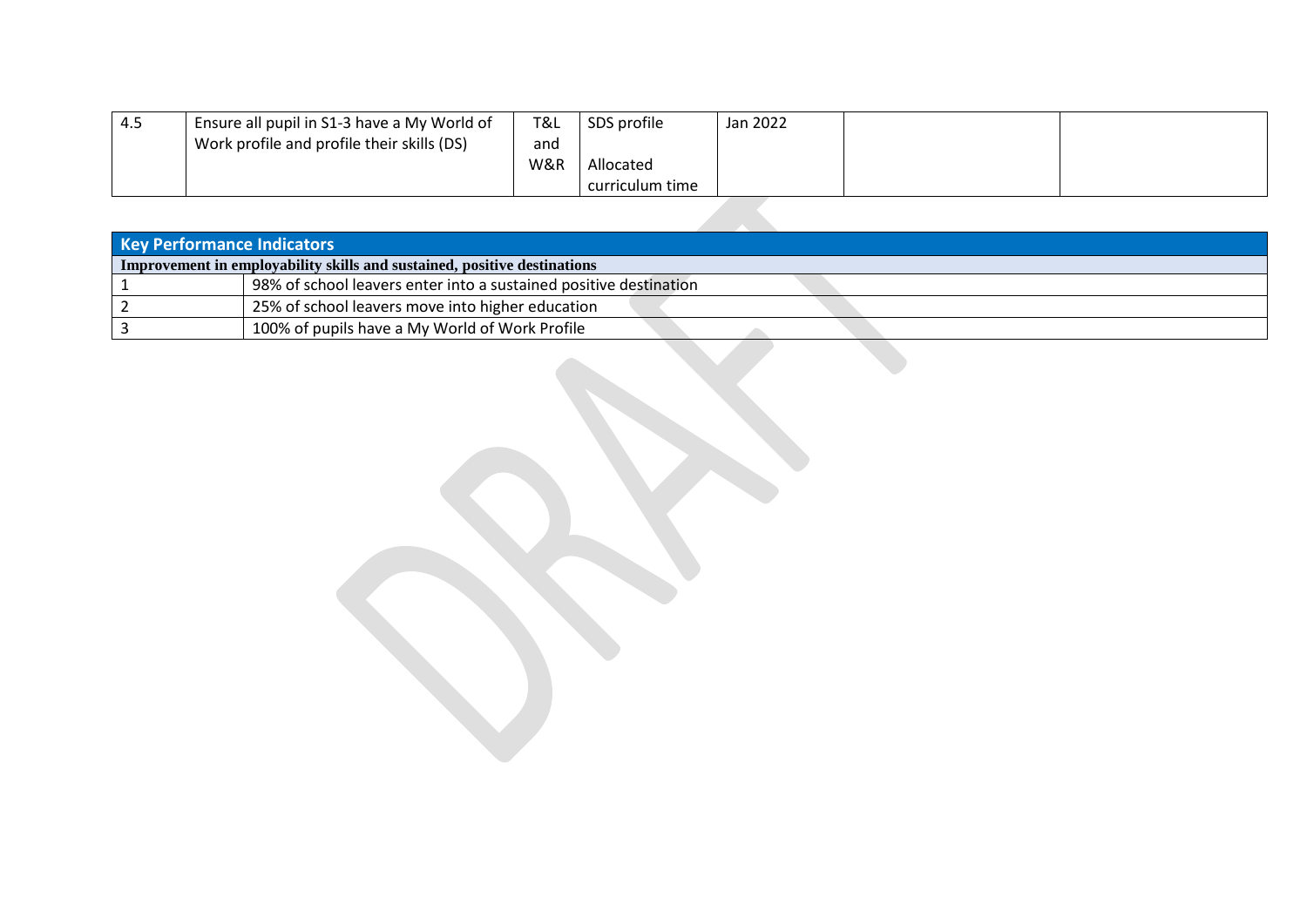| 4.5 | Ensure all pupil in S1-3 have a My World of | T&L | SDS profile     | Jan 2022 |  |
|-----|---------------------------------------------|-----|-----------------|----------|--|
|     | Work profile and profile their skills (DS)  | and |                 |          |  |
|     |                                             | W&R | Allocated       |          |  |
|     |                                             |     | curriculum time |          |  |

| Key Performance Indicators |                                                                          |  |  |  |  |  |
|----------------------------|--------------------------------------------------------------------------|--|--|--|--|--|
|                            | Improvement in employability skills and sustained, positive destinations |  |  |  |  |  |
|                            | 98% of school leavers enter into a sustained positive destination        |  |  |  |  |  |
|                            | 25% of school leavers move into higher education                         |  |  |  |  |  |
|                            | 100% of pupils have a My World of Work Profile                           |  |  |  |  |  |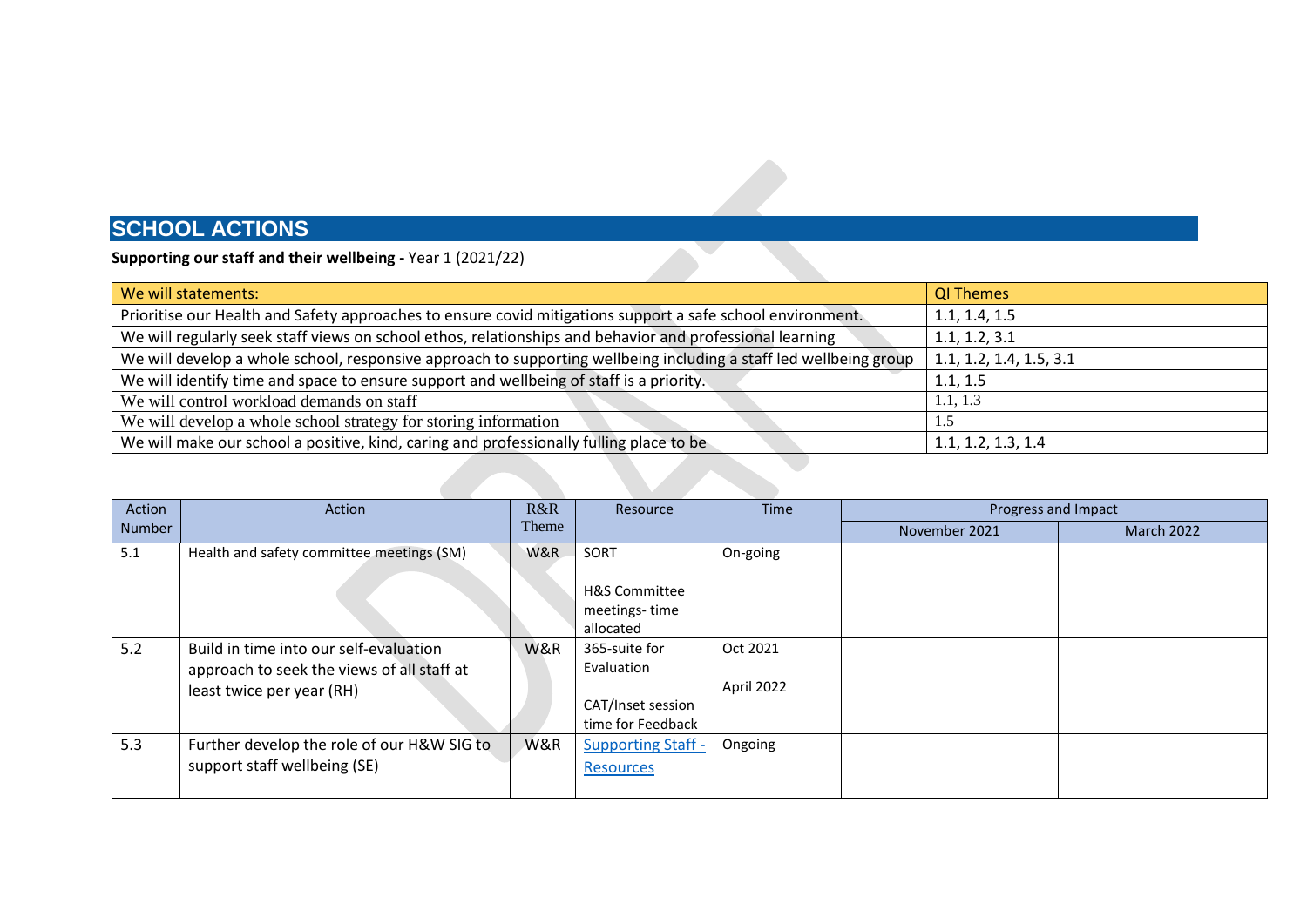#### **Supporting our staff and their wellbeing -** Year 1 (2021/22)

| We will statements:                                                                                               | <b>QI Themes</b>        |
|-------------------------------------------------------------------------------------------------------------------|-------------------------|
| Prioritise our Health and Safety approaches to ensure covid mitigations support a safe school environment.        | 1.1, 1.4, 1.5           |
| We will regularly seek staff views on school ethos, relationships and behavior and professional learning          | 1.1, 1.2, 3.1           |
| We will develop a whole school, responsive approach to supporting wellbeing including a staff led wellbeing group | 1.1, 1.2, 1.4, 1.5, 3.1 |
| We will identify time and space to ensure support and wellbeing of staff is a priority.                           | 1.1, 1.5                |
| We will control workload demands on staff                                                                         | 1.1, 1.3                |
| We will develop a whole school strategy for storing information                                                   | 1.5                     |
| We will make our school a positive, kind, caring and professionally fulling place to be                           | 1.1, 1.2, 1.3, 1.4      |
|                                                                                                                   |                         |

**AND** 

| Action | Action                                                                                                            | R&R   | Resource                                                              | <b>Time</b>            | Progress and Impact |                   |
|--------|-------------------------------------------------------------------------------------------------------------------|-------|-----------------------------------------------------------------------|------------------------|---------------------|-------------------|
| Number |                                                                                                                   | Theme |                                                                       |                        | November 2021       | <b>March 2022</b> |
| 5.1    | Health and safety committee meetings (SM)                                                                         | W&R   | SORT<br><b>H&amp;S Committee</b><br>meetings-time<br>allocated        | On-going               |                     |                   |
| 5.2    | Build in time into our self-evaluation<br>approach to seek the views of all staff at<br>least twice per year (RH) | W&R   | 365-suite for<br>Evaluation<br>CAT/Inset session<br>time for Feedback | Oct 2021<br>April 2022 |                     |                   |
| 5.3    | Further develop the role of our H&W SIG to<br>support staff wellbeing (SE)                                        | W&R   | <b>Supporting Staff -</b><br><b>Resources</b>                         | Ongoing                |                     |                   |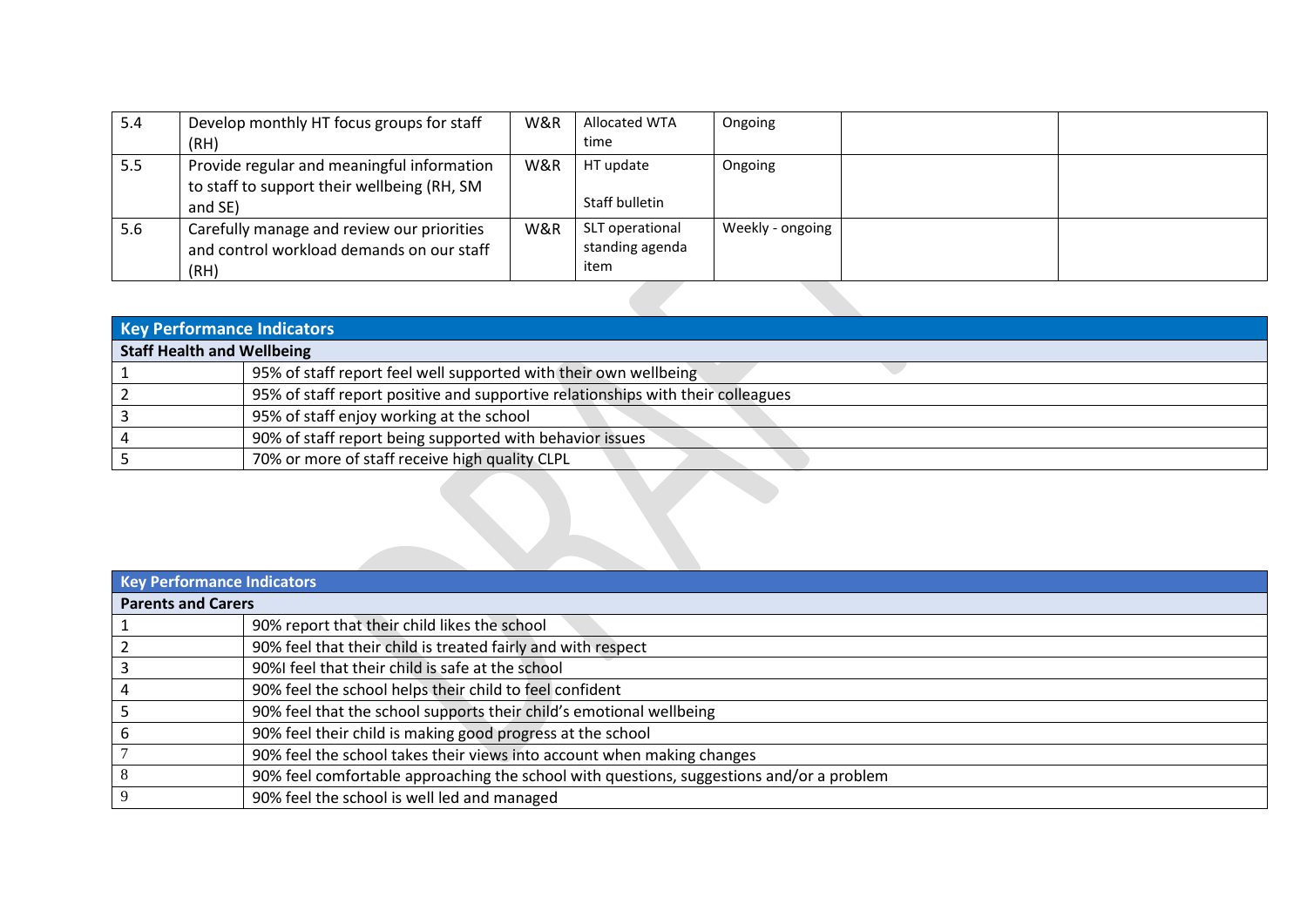| 5.4 | Develop monthly HT focus groups for staff<br>(RH)                                                    | W&R | <b>Allocated WTA</b><br>time               | Ongoing          |  |
|-----|------------------------------------------------------------------------------------------------------|-----|--------------------------------------------|------------------|--|
| 5.5 | Provide regular and meaningful information<br>to staff to support their wellbeing (RH, SM<br>and SE) | W&R | HT update<br>Staff bulletin                | Ongoing          |  |
| 5.6 | Carefully manage and review our priorities<br>and control workload demands on our staff<br>(RH)      | W&R | SLT operational<br>standing agenda<br>item | Weekly - ongoing |  |
|     |                                                                                                      |     |                                            |                  |  |

| Key Performance Indicators        |                                                                                 |  |  |  |  |
|-----------------------------------|---------------------------------------------------------------------------------|--|--|--|--|
| <b>Staff Health and Wellbeing</b> |                                                                                 |  |  |  |  |
|                                   | 95% of staff report feel well supported with their own wellbeing                |  |  |  |  |
|                                   | 95% of staff report positive and supportive relationships with their colleagues |  |  |  |  |
|                                   | 95% of staff enjoy working at the school                                        |  |  |  |  |
|                                   | 90% of staff report being supported with behavior issues                        |  |  |  |  |
|                                   | 70% or more of staff receive high quality CLPL                                  |  |  |  |  |
|                                   |                                                                                 |  |  |  |  |

|                           | Key Performance Indicators                                                               |  |  |  |  |  |
|---------------------------|------------------------------------------------------------------------------------------|--|--|--|--|--|
| <b>Parents and Carers</b> |                                                                                          |  |  |  |  |  |
|                           | 90% report that their child likes the school                                             |  |  |  |  |  |
|                           | 90% feel that their child is treated fairly and with respect                             |  |  |  |  |  |
|                           | 90%I feel that their child is safe at the school                                         |  |  |  |  |  |
|                           | 90% feel the school helps their child to feel confident                                  |  |  |  |  |  |
|                           | 90% feel that the school supports their child's emotional wellbeing                      |  |  |  |  |  |
|                           | 90% feel their child is making good progress at the school                               |  |  |  |  |  |
|                           | 90% feel the school takes their views into account when making changes                   |  |  |  |  |  |
|                           | 90% feel comfortable approaching the school with questions, suggestions and/or a problem |  |  |  |  |  |
|                           | 90% feel the school is well led and managed                                              |  |  |  |  |  |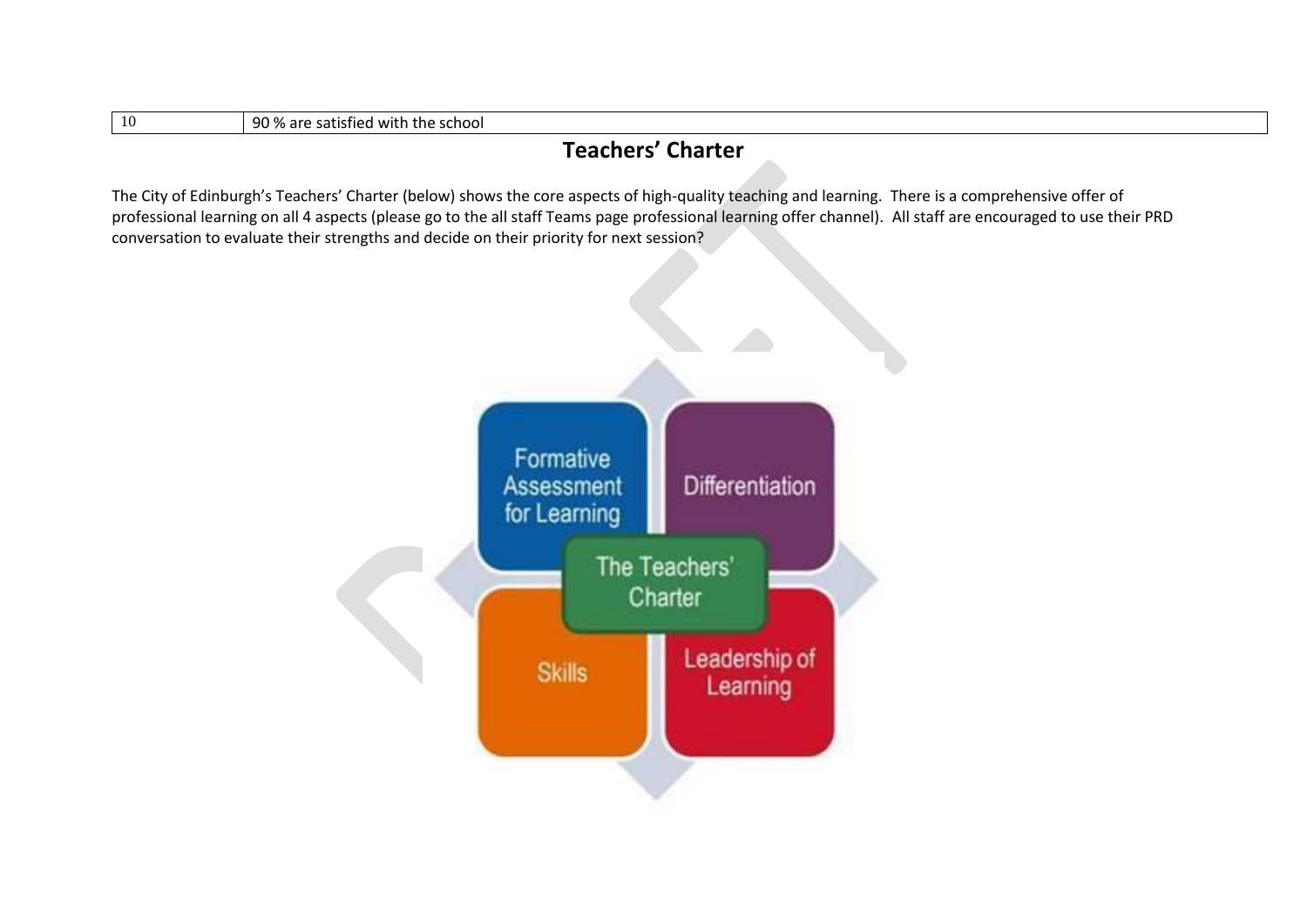| 90 % are satisfied with the school<br>-10 |  |
|-------------------------------------------|--|
|-------------------------------------------|--|

#### **Teachers' Charter**

The City of Edinburgh's Teachers' Charter (below) shows the core aspects of high-quality teaching and learning. There is a comprehensive offer of professional learning on all 4 aspects (please go to the all staff Teams page professional learning offer channel). All staff are encouraged to use their PRD conversation to evaluate their strengths and decide on their priority for next session?